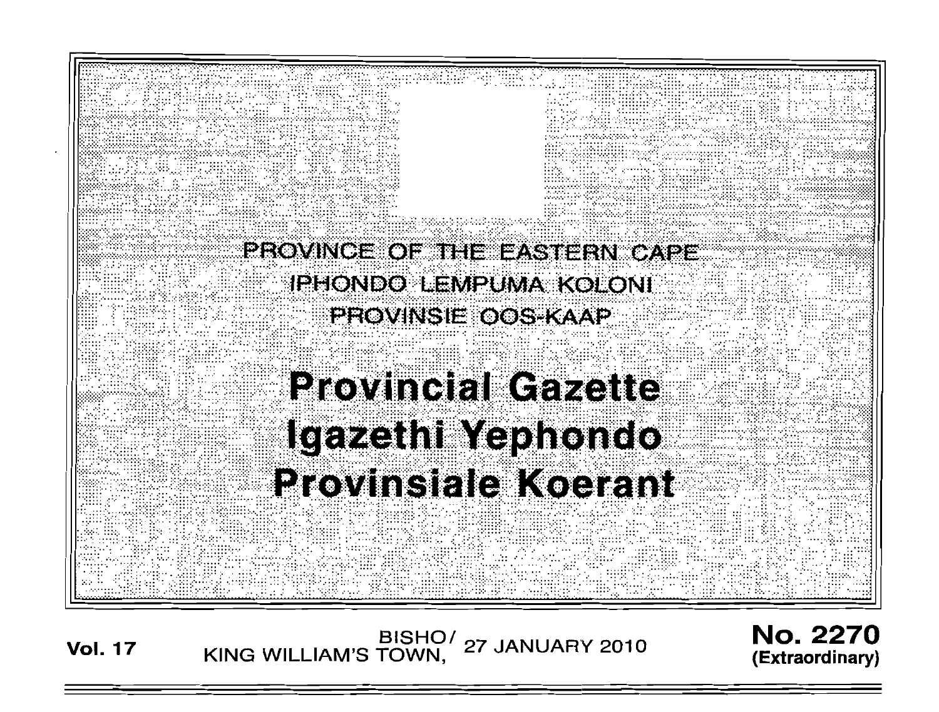

**Vol. 17** 

BISHO/ 27 JANUARY 2010<br>KING WILLIAM'S TOWN, 27 JANUARY 2010

**No. 2270** (Extraordinary)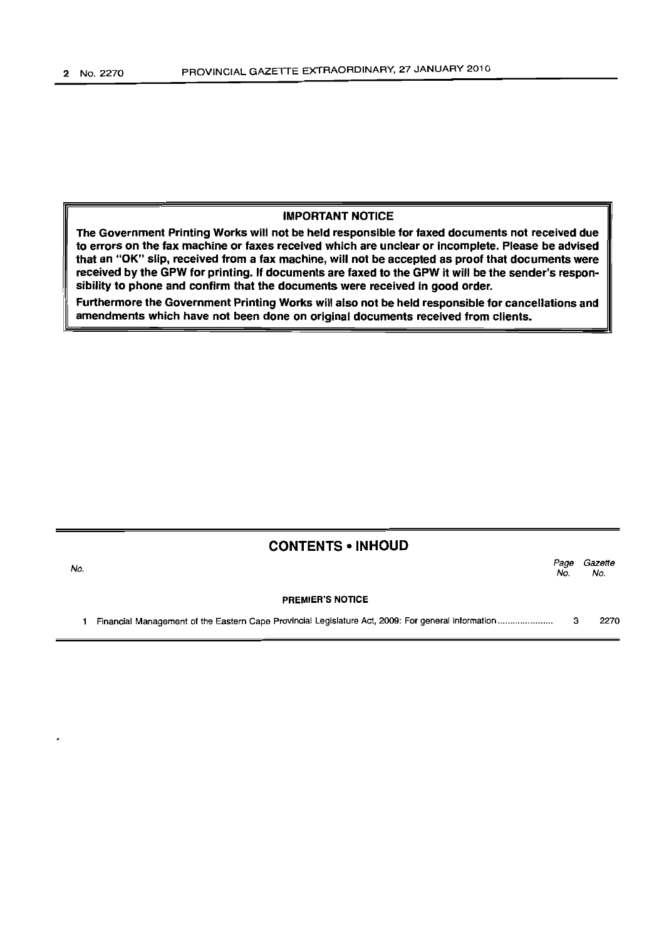## IMPORTANT NOTICE

The Government Printing Works will not be held responsible for faxed documents not received due to errors on the fax machine or faxes received which are unclear or incomplete. Please be advised that an "OK" slip, received from a fax machine, will not be accepted as proof that documents were received by the GPW for printing. If documents are faxed to the GPW it will be the sender's responsibility to phone and confirm that the documents were received in good order.

Furthermore the Government Printing Works will also not be held responsible for cancellations and amendments which have not been done on original documents received from clients.

# CONTENTS • INHOUD

| No. |                         | Page<br>No. | Gazette<br>No. |
|-----|-------------------------|-------------|----------------|
|     | <b>PREMIER'S NOTICE</b> |             |                |
|     |                         |             | 2270           |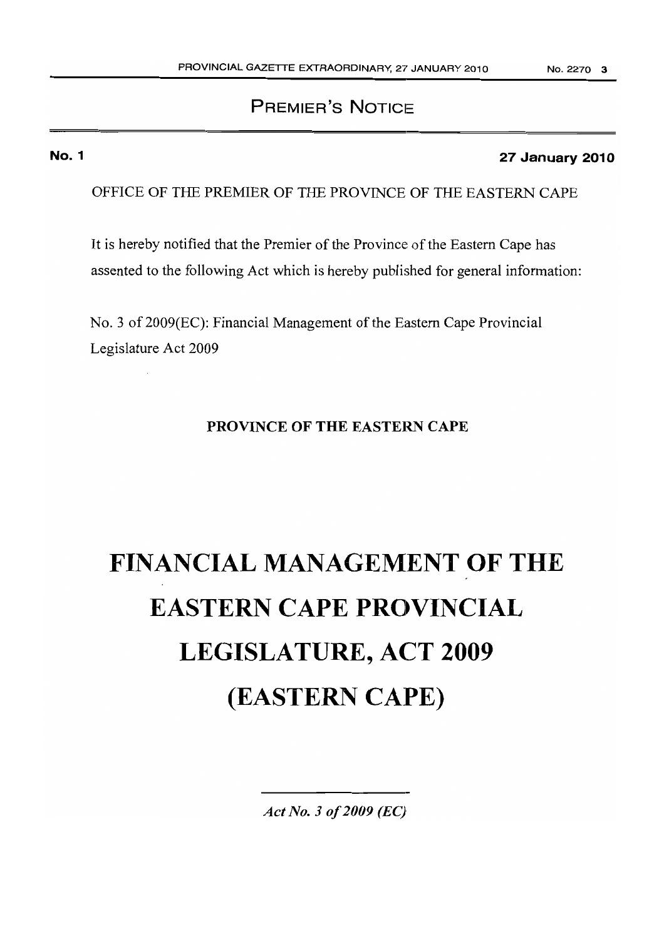# PREMIER'S NOTICE

# No.1

# 27 January 2010

OFFICE OF THE PREMIER OF THE PROVINCE OF THE EASTERN CAPE

It is hereby notified that the Premier of the Province of the Eastern Cape has assented to the following Act which is hereby published for general information:

No. 3 of 2009(EC): Financial Management of the Eastern Cape Provincial Legislature Act 2009

# PROVINCE OF THE EASTERN CAPE

# FINANCIAL MANAGEMENT OF THE EASTERN CAPE PROVINCIAL LEGISLATURE, ACT 2009 (EASTERN CAPE)

*Act No.3 of2009* (Ee)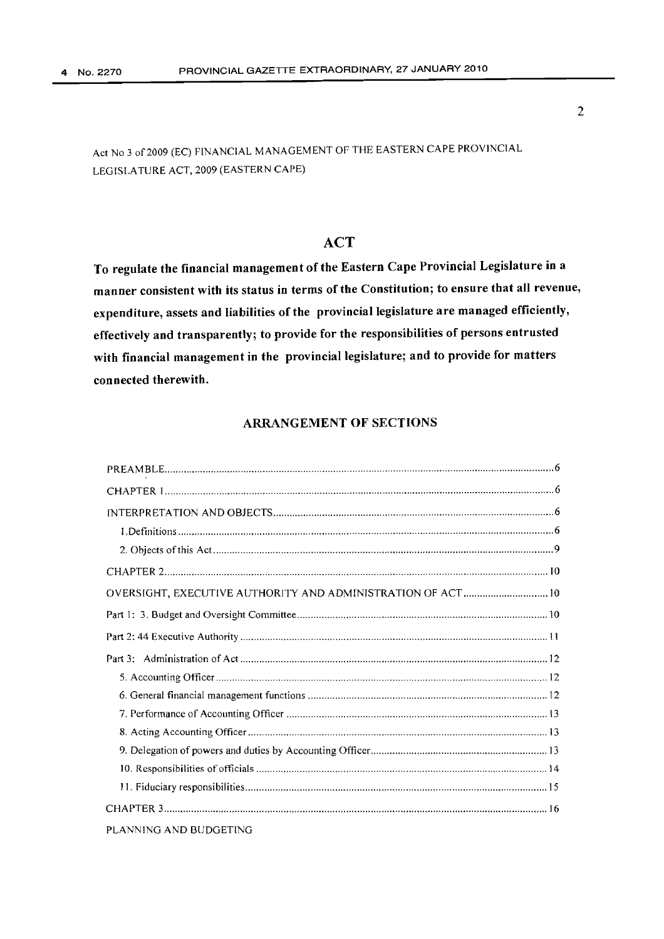# ACT

To regulate the financial management of the Eastern Cape Provincial Legislature in a manner consistent with its status in terms of the Constitution; to ensure that all revenue, expenditure, assets and liabilities of the provincial legislature are managed efficiently, effectively and transparently; to provide for the responsibilities of persons entrusted with financial management in the provincial legislature; and to provide for matters connected therewith.

# ARRANGEMENT OF SECTIONS

| OVERSIGHT, EXECUTIVE AUTHORITY AND ADMINISTRATION OF ACT  10 |  |
|--------------------------------------------------------------|--|
|                                                              |  |
|                                                              |  |
|                                                              |  |
|                                                              |  |
|                                                              |  |
|                                                              |  |
|                                                              |  |
|                                                              |  |
|                                                              |  |
|                                                              |  |
|                                                              |  |
| PLANNING AND BUDGETING                                       |  |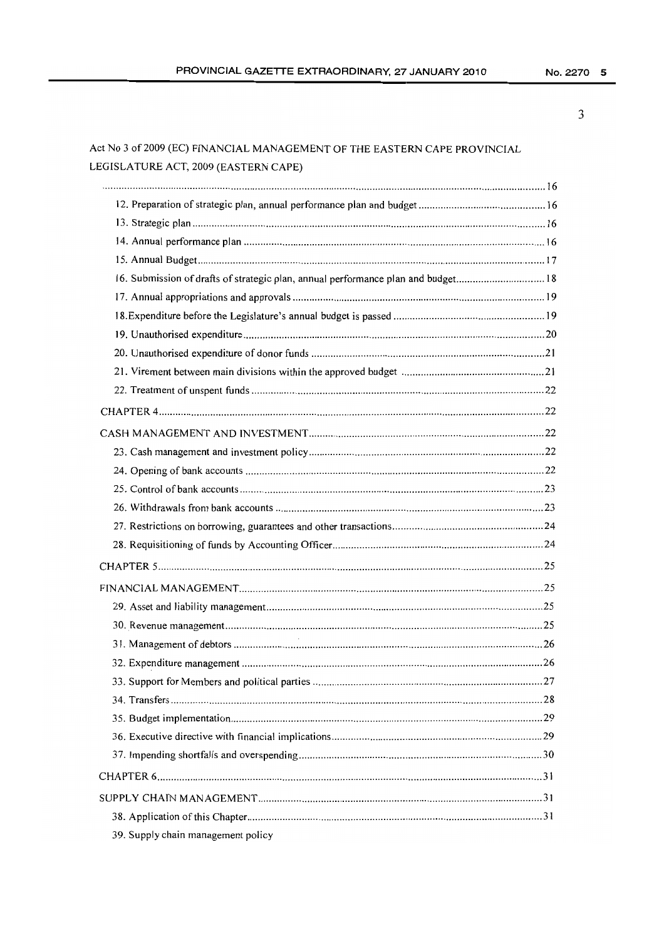# Act No 3 of 2009 (EC) FINANCIAL MANAGEMENT OF THE EASTERN CAPE PROVINCIAL LEGISLATURE ACT, 2009 (EASTERN CAPE)

| 16. Submission of drafts of strategic plan, annual performance plan and budget 18 |  |
|-----------------------------------------------------------------------------------|--|
|                                                                                   |  |
|                                                                                   |  |
|                                                                                   |  |
|                                                                                   |  |
|                                                                                   |  |
|                                                                                   |  |
|                                                                                   |  |
|                                                                                   |  |
|                                                                                   |  |
|                                                                                   |  |
|                                                                                   |  |
|                                                                                   |  |
|                                                                                   |  |
|                                                                                   |  |
|                                                                                   |  |
|                                                                                   |  |
|                                                                                   |  |
|                                                                                   |  |
|                                                                                   |  |
|                                                                                   |  |
|                                                                                   |  |
|                                                                                   |  |
|                                                                                   |  |
|                                                                                   |  |
|                                                                                   |  |
|                                                                                   |  |
|                                                                                   |  |
|                                                                                   |  |
| 39. Supply chain management policy                                                |  |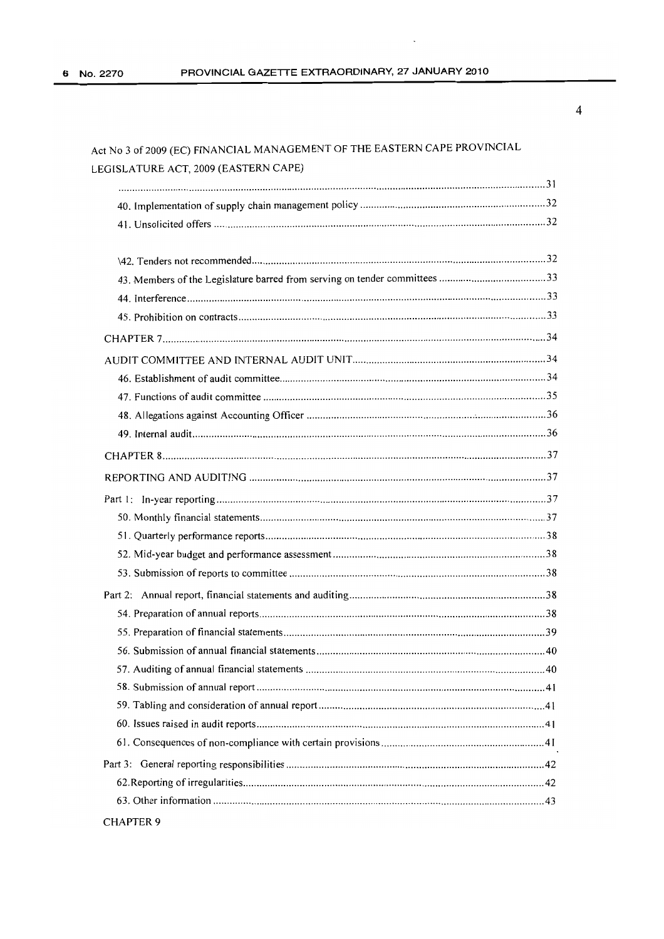# Act No 3 of2009 (EC) FINANCIAL MANAGEMENT OF THE EASTERN CAPE PROVINCIAL LEGISLATURE ACT, 2009 (EASTERN CAPE)

| <b>CHAPTER 9</b> |
|------------------|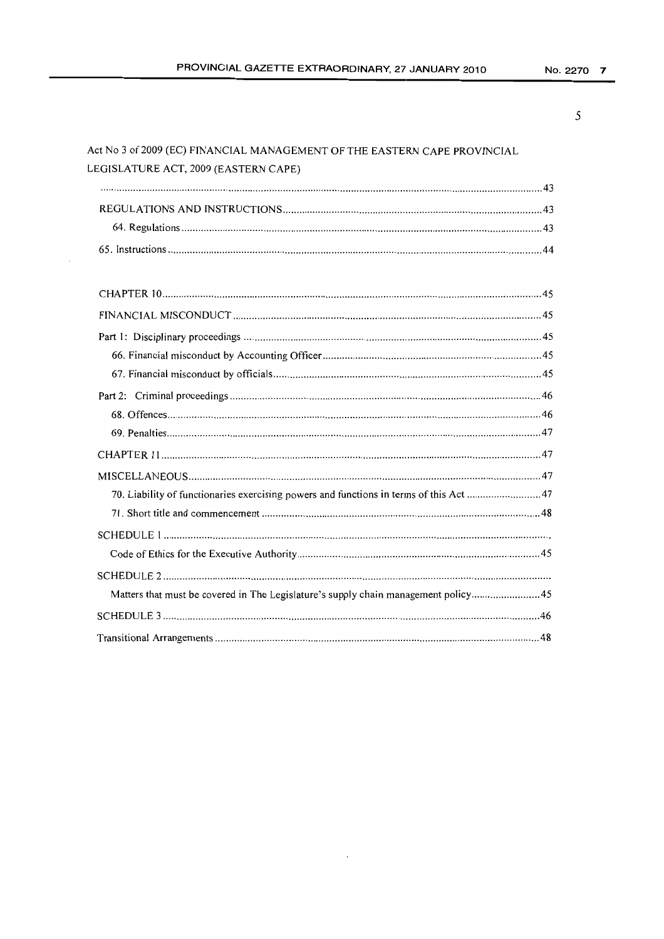# Act No 3 of 2009 (EC) FINANCIAL MANAGEMENT OF THE EASTERN CAPE PROVINCIAL LEGISLATURE ACT, 2009 (EASTERN CAPE)

| 70. Liability of functionaries exercising powers and functions in terms of this Act 47 |
|----------------------------------------------------------------------------------------|
|                                                                                        |
|                                                                                        |
|                                                                                        |
|                                                                                        |
| Matters that must be covered in The Legislature's supply chain management policy45     |
|                                                                                        |
|                                                                                        |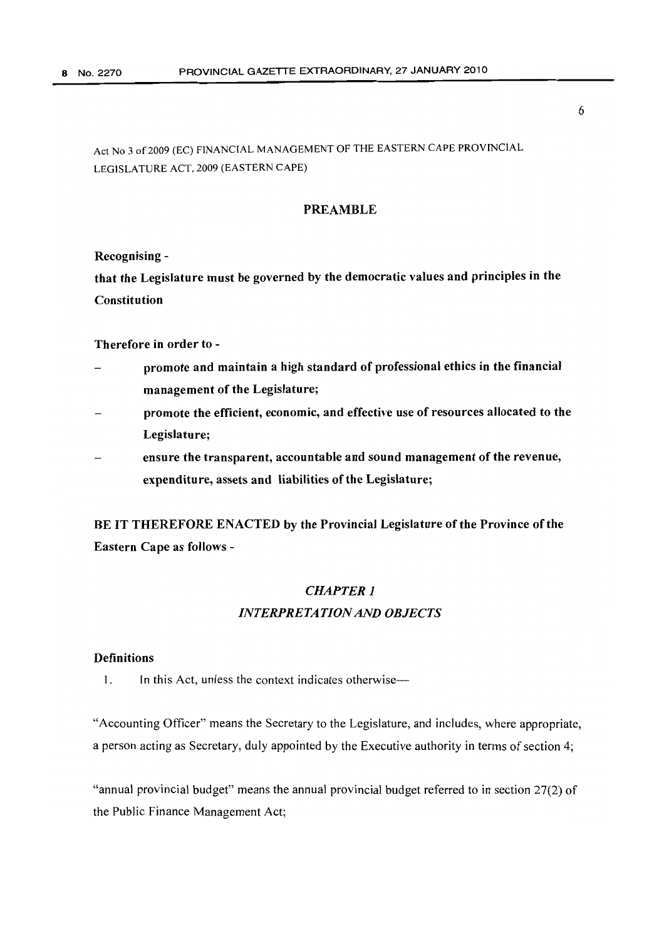# PREAMBLE

Recognising -

that the Legislature must be governed by the democratic values and principles in the Constitution

#### Therefore in order to -

- promote and maintain a high standard of professional ethics in the financial management of the Legislature;
- promote the efficient, economic, and effective use of resources allocated to the Legislature;
- ensure the transparent, accountable and sound management of the revenue, expenditure, assets and liabilities of the Legislature;

BE IT THEREFORE ENACTED by the Provincial Legislature of the Province of the Eastern Cape as follows -

# *CHAPTER] INTERPRETATIONAND OBJECTS*

## **Definitions**

1. In this Act, unless the context indicates otherwise—

"Accounting Officer" means the Secretary to the Legislature, and includes, where appropriate, a person acting as Secretary, duly appointed by the Executive authority in terms of section 4;

"annual provincial budget" means the annual provincial budget referred to in section 27(2) of the Public Finance Management Act;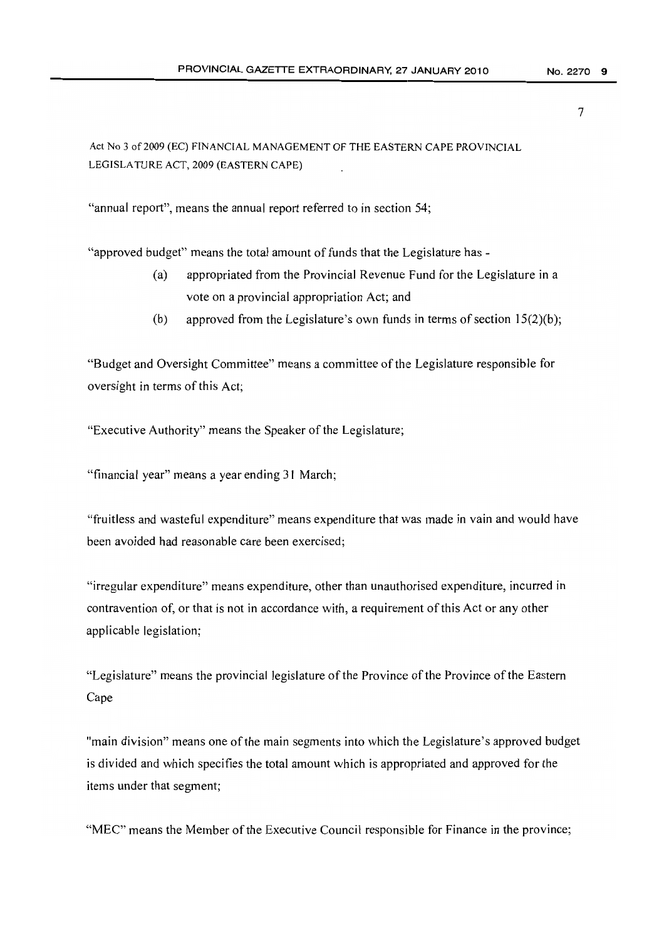Act No 3 of2009 (EC) FINANCIAL MANAGEMENT OF THE EASTERN CAPE PROVINCIAL LEGISLATURE ACT, 2009 (EASTERN CAPE)

"annual report", means the annual report referred to in section 54;

"approved budget" means the total amount of funds that the Legislature has -

- (a) appropriated from the Provincial Revenue Fund for the Legislature in a vote on a provincial appropriation Act; and
- (b) approved from the Legislature's own funds in terms of section  $15(2)(b)$ ;

"Budget and Oversight Committee" means a committee ofthe Legislature responsible for oversight in terms of this Act;

"Executive Authority" means the Speaker of the Legislature;

"financial year" means a year ending 31 March;

"fruitless and wasteful expenditure" means expenditure that was made in vain and would have been avoided had reasonable care been exercised;

"irregular expenditure" means expenditure, other than unauthorised expenditure, incurred in contravention of, or that is not in accordance with, a requirement of this Act or any other applicable legislation;

"Legislature" means the provincial legislature of the Province of the Province of the Eastern Cape

"main division" means one of the main segments into which the Legislature's approved budget is divided and which specifies the total amount which is appropriated and approved for the items under that segment;

"MEC" means the Member of the Executive Council responsible for Finance in the province;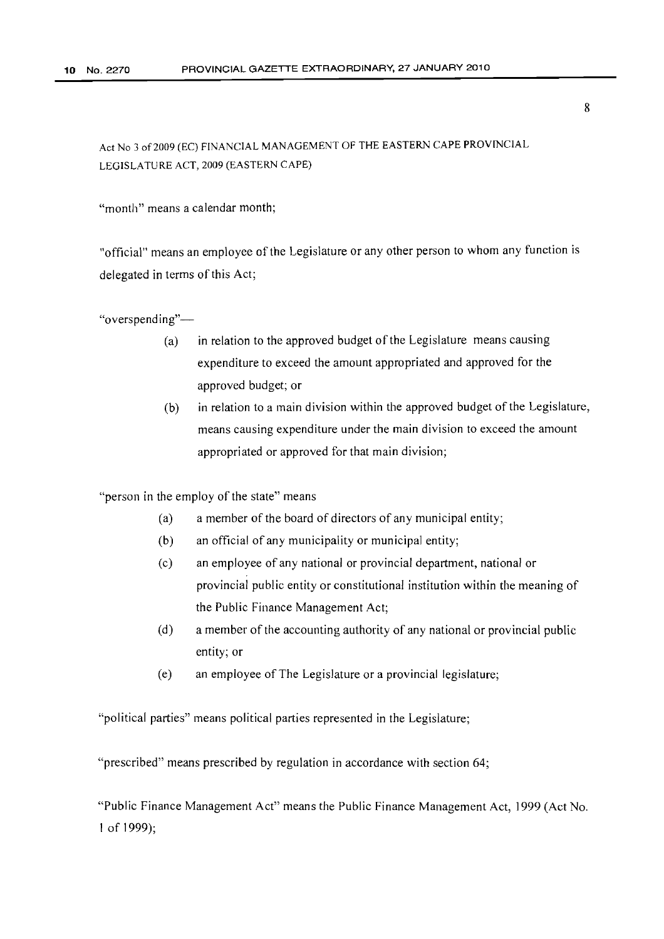"month" means a calendar month;

"official" means an employee of the Legislature or any other person to whom any function is delegated in terms of this Act;

"overspending"-

- (a) in relation to the approved budget of the Legislature means causing expenditure to exceed the amount appropriated and approved for the approved budget; or
- (b) in relation to a main division within the approved budget of the Legislature, means causing expenditure under the main division to exceed the amount appropriated or approved for that main division;

"person in the employ of the state" means

- (a) a member of the board of directors of any municipal entity;
- (b) an official of any municipality or municipal entity;
- (c) an employee of any national or provincial department, national or provincial public entity or constitutional institution within the meaning of the Public Finance Management Act;
- (d) a member of the accounting authority of any national or provincial public entity; or
- (e) an employee of The Legislature or a provincial legislature;

"political parties" means political parties represented in the Legislature;

"prescribed" means prescribed by regulation in accordance with section 64;

"Public Finance Management Act" means the Public Finance Management Act, 1999 (Act No. 1 of 1999);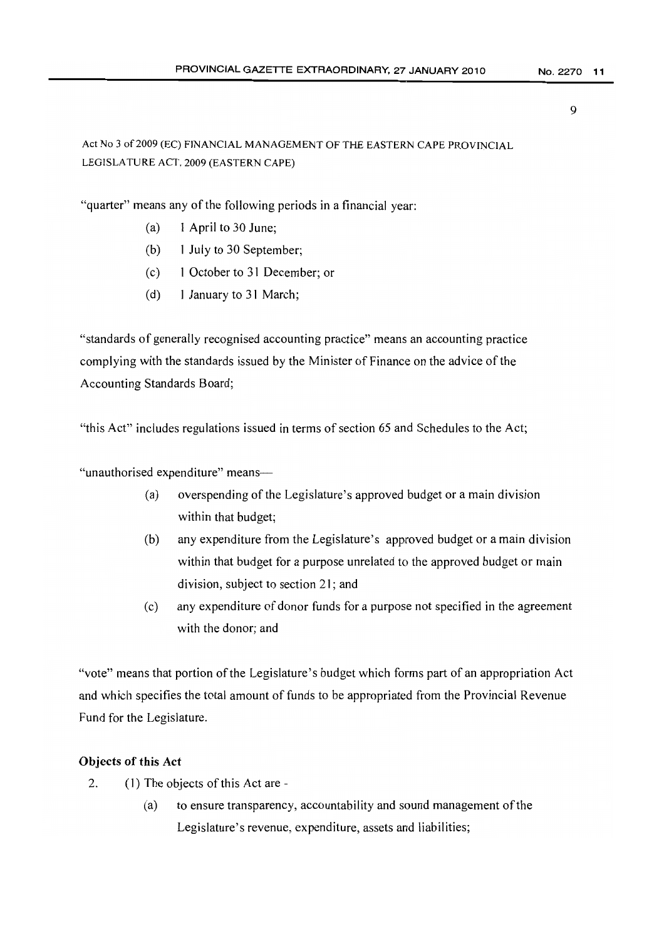Act No 3 of2009 (EC) FINANCIAL MANAGEMENT OF THE EASTERN CAPE PROVINCIAL LEGISLATURE ACT, 2009 (EASTERN CAPE)

"quarter" means any of the following periods in a financial year:

- (a) 1 April to 30 June;
- (b) 1 July to 30 September;
- (c) I October to 31 December; or
- (d) I January to 31 March;

"standards of generally recognised accounting practice" means an accounting practice complying with the standards issued by the Minister of Finance on the advice of the Accounting Standards Board;

"this Act" includes regulations issued in terms of section 65 and Schedules to the Act;

"unauthorised expenditure" means-

- (a) overspending of the Legislature's approved budget or a main division within that budget;
- (b) any expenditure from the Legislature's approved budget or a main division within that budget for a purpose unrelated to the approved budget or main division, subject to section 21; and
- (c) any expenditure of donor funds for a purpose not specified in the agreement with the donor; and

"vote" means that portion of the Legislature's budget which forms part of an appropriation Act and which specifies the total amount of funds to be appropriated from the Provincial Revenue Fund for the Legislature.

# Objects of this Act

- 2. (1) The objects of this Act are -
	- (a) to ensure transparency, accountability and sound management of the Legislature's revenue, expenditure, assets and liabilities;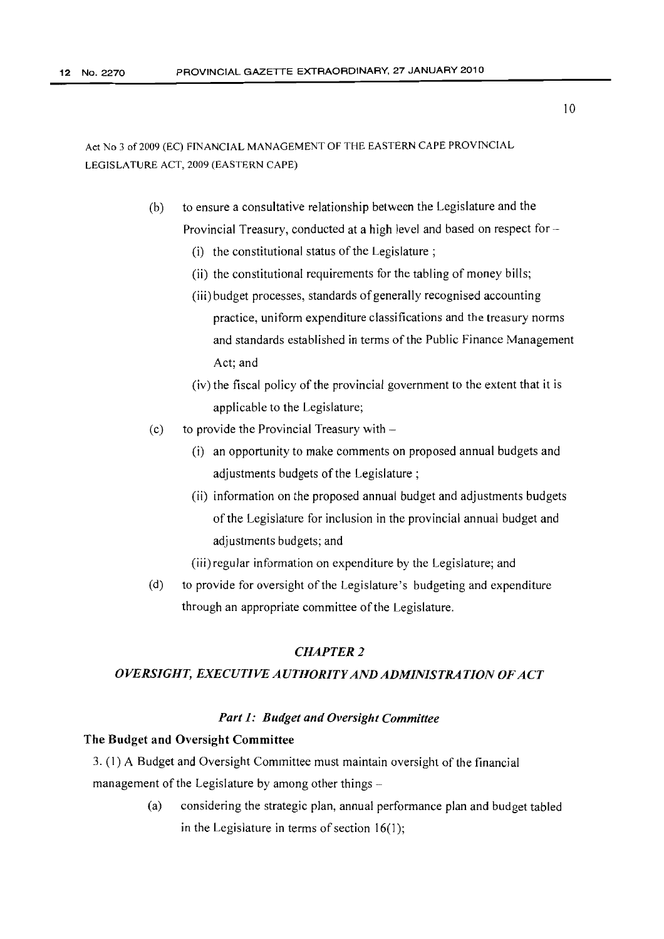- (b) to ensure a consultative relationship between the Legislature and the Provincial Treasury, conducted at a high level and based on respect for -
	- (i) the constitutional status of the Legislature;
	- (ii) the constitutional requirements for the tabling of money bills;
	- (iii) budget processes, standards of generally recognised accounting practice, uniform expenditure classifications and the treasury norms and standards established in terms of the Public Finance Management Act; and
	- $(iv)$  the fiscal policy of the provincial government to the extent that it is applicable to the Legislature;
- (c) to provide the Provincial Treasury with  $-$ 
	- (i) an opportunity to make comments on proposed annual budgets and adjustments budgets of the Legislature;
	- (ii) information on the proposed annual budget and adjustments budgets of the Legislature for inclusion in the provincial annual budget and adjustments budgets; and
	- (iii) regular information on expenditure by the Legislature; and
- (d) to provide for oversight of the Legislature's budgeting and expenditure through an appropriate committee of the Legislature.

# *CHAPTER* 2

#### *OVERSIGHT, EXECUTIVE AUTHORITYAND ADMINISTRATION OFACT*

#### *Part* 1: *Budget and Oversight Committee*

#### The Budget and Oversight Committee

3. (1) A Budget and Oversight Committee must maintain oversight of the financial management of the Legislature by among other things  $-$ 

> (a) considering the strategic plan, annual performance plan and budget tabled in the Legislature in terms of section  $16(1)$ ;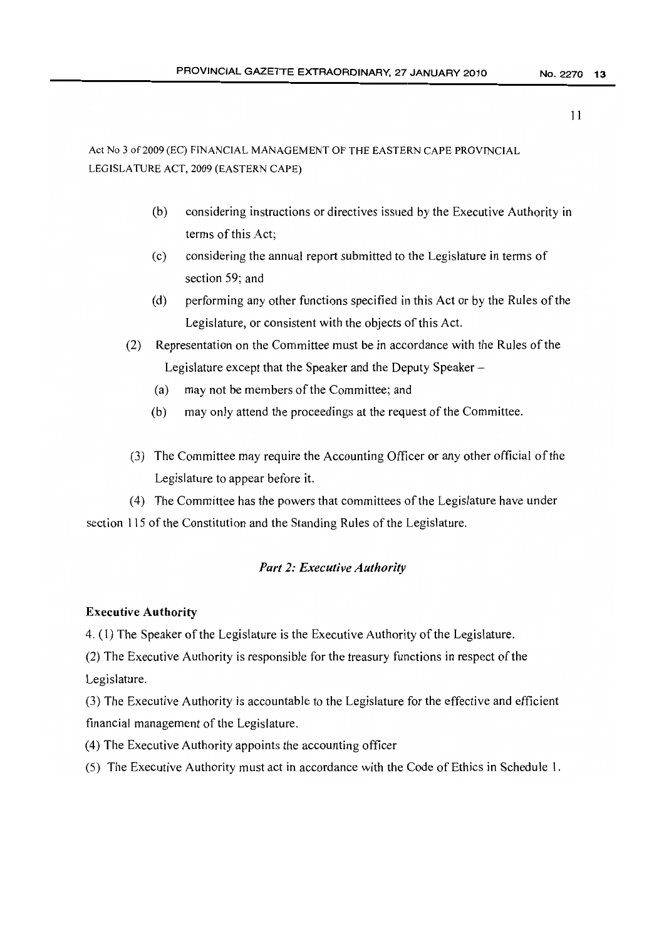- (b) considering instructions or directives issued by the Executive Authority in terms of this Act;
- (c) considering the annual report submitted to the Legislature in terms of section 59; and
- (d) performing any other functions specified in this Act or by the Rules ofthe Legislature, or consistent with the objects of this Act.
- (2) Representation on the Committee must be in accordance with the Rules of the Legislature except that the Speaker and the Deputy Speaker-
	- (a) may not be members of the Committee; and
	- $(b)$  may only attend the proceedings at the request of the Committee.
- (3) The Committee may require the Accounting Officer or any other official ofthe Legislature to appear before it.

(4) The Committee has the powers that committees of the Legislature have under section 115 of the Constitution and the Standing Rules of the Legislature.

# *Part* 2: *Executive Authority*

# Executive Authority

4. (1) The Speaker of the Legislature is the Executive Authority of the Legislature.

 $(2)$  The Executive Authority is responsible for the treasury functions in respect of the Legislature.

(3) The Executive Authority is accountable to the Legislature for the effective and efficient financial management of the Legislature.

- (4) The Executive Authority appoints the accounting officer
- (5) The Executive Authority must act in accordance with the Code of Ethics in Schedule 1.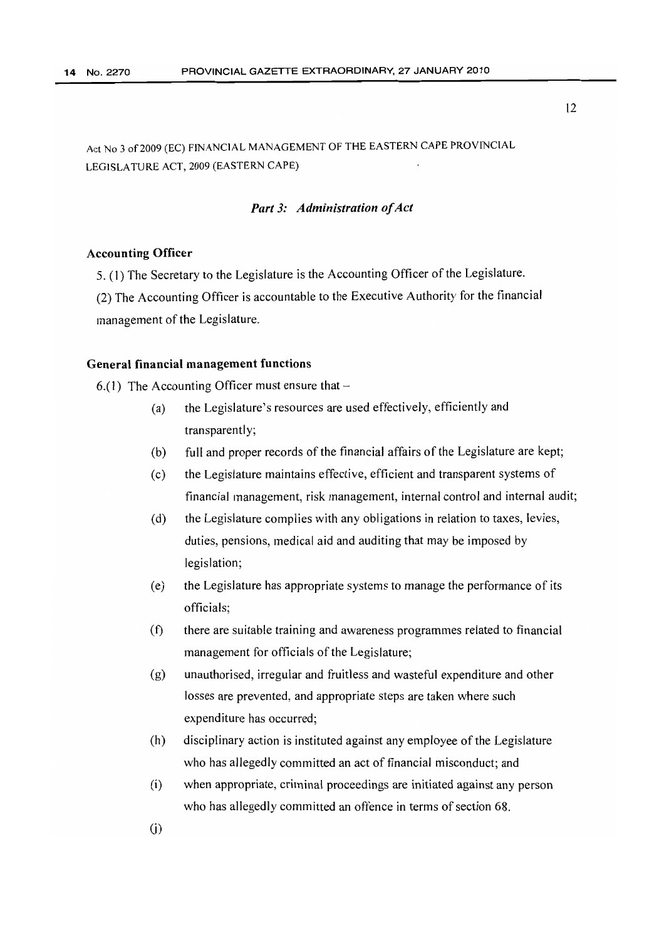Act No 3 of 2009 (EC) FINANCIAL MANAGEMENT OF THE EASTERN CAPE PROVINCIAL LEGISLATURE ACT, 2009 (EASTERN CAPE)

# *Part 3: Administration of Act*

#### Accounting Officer

5. (1) The Secretary to the Legislature is the Accounting Officer of the Legislature.

(2) The Accounting Officer is accountable to the Executive Authority for the financial management of the Legislature.

#### General financial management functions

 $6.(1)$  The Accounting Officer must ensure that  $-$ 

- (a) the Legislature's resources are used effectively, efficiently and transparently;
- (b) full and proper records of the financial affairs of the Legislature are kept;
- (c) the Legislature maintains effective, efficient and transparent systems of financial management, risk management, internal control and internal audit;
- (d) the Legislature complies with any obligations in relation to taxes, levies, duties, pensions, medical aid and auditing that may be imposed by legislation;
- (e) the Legislature has appropriate systems to manage the performance of its officials;
- (1) there are suitable training and awareness programmes related to financial management for officials of the Legislature;
- (g) unauthorised, irregular and fruitless and wasteful expenditure and other losses are prevented, and appropriate steps are taken where such expenditure has occurred;
- (h) disciplinary action is instituted against any employee of the Legislature who has allegedly committed an act of financial misconduct; and
- (i) when appropriate, criminal proceedings are initiated against any person who has allegedly committed an offence in terms of section 68.

 $(i)$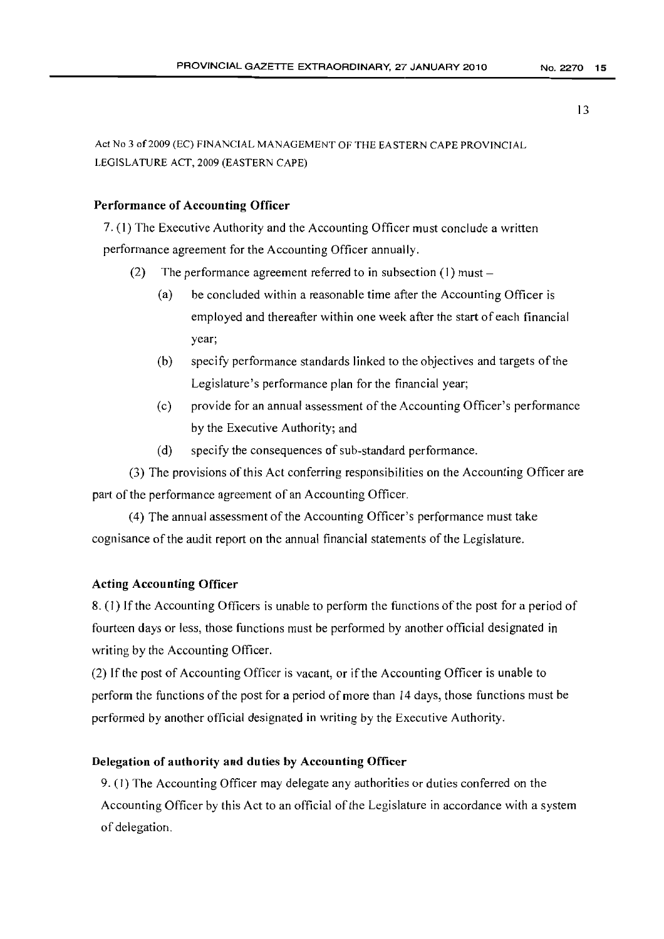Act No 3 of 2009 (EC) FINANCIAL MANAGEMENT OF THE EASTERN CAPE PROVINCIAL LEGISLATURE ACT, 2009 (EASTERN CAPE)

# Performance of Accounting Officer

7. (1) The Executive Authority and the Accounting Officer must conclude a written performance agreement for the Accounting Officer annually.

- (2) The performance agreement referred to in subsection  $(1)$  must
	- (a) be concluded within a reasonable time after the Accounting Officer is employed and thereafter within one week after the start of each financial year;
	- (b) specify performance standards linked to the objectives and targets of the Legislature's performance plan for the financial year;
	- (c) provide for an annual assessment ofthe Accounting Officer's performance by the Executive Authority; and
	- (d) specify the consequences of sub-standard performance.

(3) The provisions ofthis Act conferring responsibilities on the Accounting Officer are part of the performance agreement of an Accounting Officer.

(4) The annual assessment of the Accounting Officer's performance must take cognisance of the audit report on the annual financial statements of the Legislature.

# Acting Accounting Officer

8. (1) If the Accounting Officers is unable to perform the functions of the post for a period of fourteen days or less, those functions must be performed by another official designated in writing by the Accounting Officer.

(2) Ifthe post of Accounting Officer is vacant, or if the Accounting Officer is unable to perform the functions of the post for a period ofmore than 14 days, those functions must be performed by another official designated in writing by the Executive Authority.

# Delegation of authority and duties by Accounting Officer

9. (I) The Accounting Officer may delegate any authorities or duties conferred on the Accounting Officer by this Act to an official of the Legislature in accordance with a system of delegation.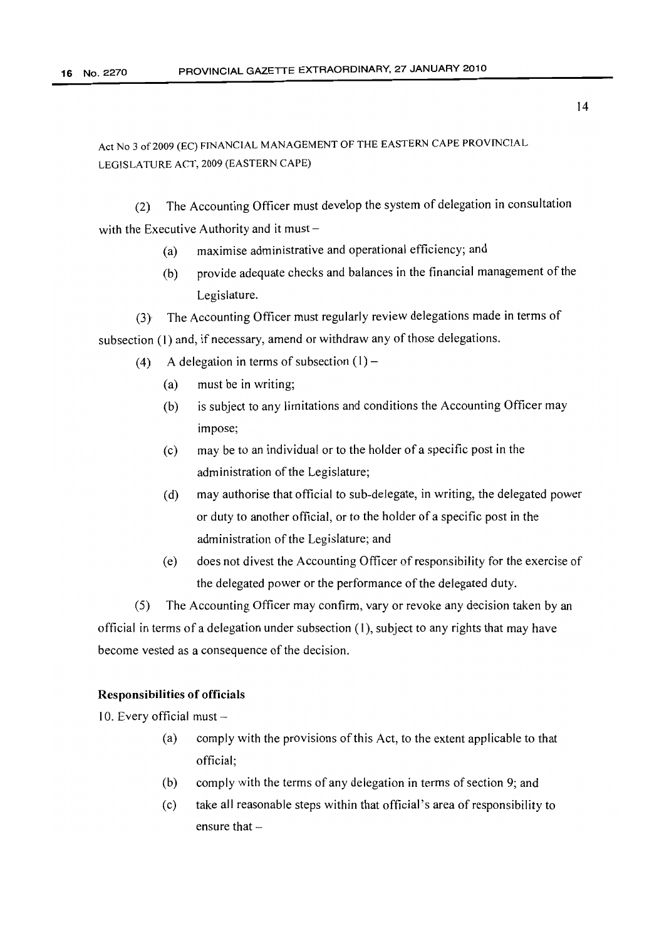(2) The Accounting Officer must develop the system of delegation in consultation with the Executive Authority and it must  $-$ 

- (a) maximise administrative and operational efficiency; and
- (b) provide adequate checks and balances in the financial management of the Legislature.
- (3) The Accounting Officer must regularly review delegations made in terms of subsection (1) and, if necessary, amend or withdraw any of those delegations.
	- (4) A delegation in terms of subsection  $(1)$ 
		- (a) must be in writing;
		- (b) is subject to any limitations and conditions the Accounting Officer may impose;
		- (c) may be to an individual or to the holder of a specific post in the administration of the Legislature;
		- (d) may authorise that official to sub-delegate, in writing, the delegated power or duty to another official, or to the holder of a specific post in the administration of the Legislature; and
		- (e) does not divest the Accounting Officer of responsibility for the exercise of the delegated power or the performance of the delegated duty.

(5) The Accounting Officer may confirm, vary or revoke any decision taken by an official in terms of a delegation under subsection (I), subject to any rights that may have become vested as a consequence of the decision.

## Responsibilities of officials

10. Every official must  $-$ 

- (a) comply with the provisions ofthis Act, to the extent applicable to that official;
- (b) comply with the terms of any delegation in terms of section 9; and
- (c) take all reasonable steps within that official's area of responsibility to ensure that  $-$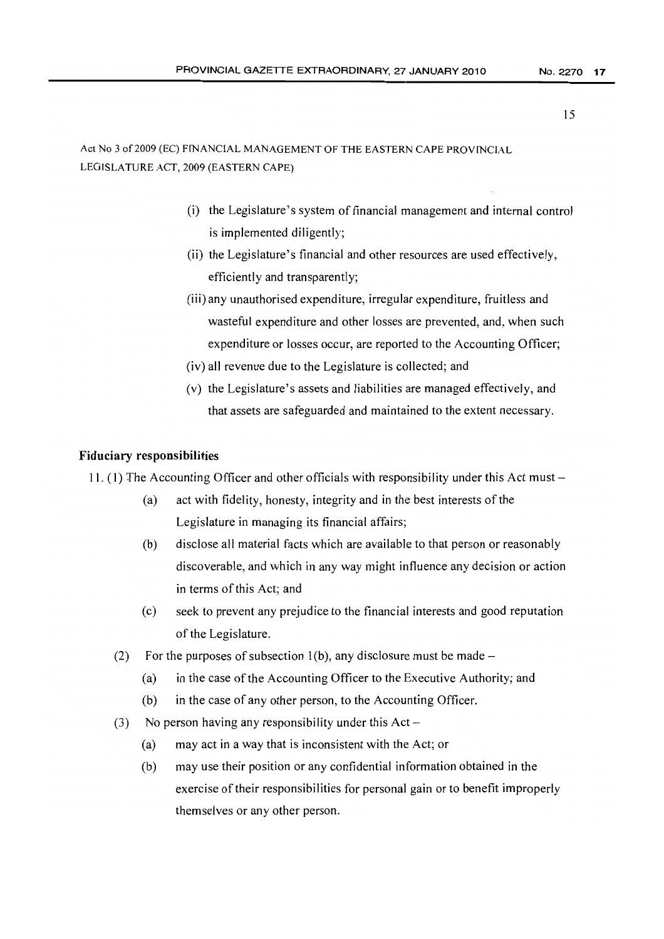- (i) the Legislature's system of financial management and internal control is implemented diligently;
- (ii) the Legislature's financial and other resources are used effectively, efficiently and transparently;
- (iii) any unauthorised expenditure, irregular expenditure, fruitless and wasteful expenditure and other losses are prevented, and, when such expenditure or losses occur, are reported to the Accounting Officer;
- (iv) all revenue due to the Legislature is collected; and
- (v) the Legislature's assets and liabilities are managed effectively, and that assets are safeguarded and maintained to the extent necessary.

#### Fiduciary responsibilities

11. (1) The Accounting Officer and other officials with responsibility under this Act must -

- (a) act with fidelity, honesty, integrity and in the best interests of the Legislature in managing its financial affairs;
- (b) disclose all material facts which are available to that person or reasonably discoverable, and which in any way might influence any *decision* or action in terms of this Act; and
- (c) seek to prevent any prejudice to the financial interests and good reputation of the Legislature.
- (2) For the purposes of subsection  $1(b)$ , any disclosure must be made
	- (a) in the case of the Accounting Officer to the Executive Authority; and
	- (b) in the case of any other person, to the Accounting Officer.
- (3) No person having any responsibility under this  $Act -$ 
	- (a) may act in a way that is inconsistent with the Act; or
	- (b) may use their position or any confidential information obtained in the exercise of their responsibilities for personal gain or to benefit improperly themselves or any other person.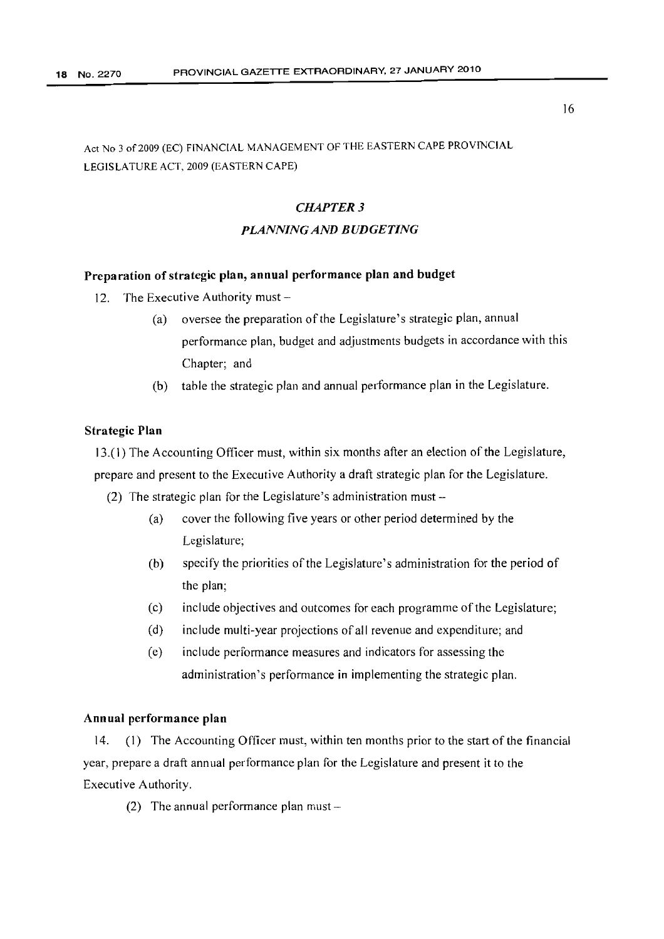Act No 3 of 2009 (EC) FINANCIAL MANAGEMENT OF THE EASTERN CAPE PROVINCIAL LEGISLATURE ACT, 2009 (EASTERN CAPE)

# *CHAPTER* 3 *PLANNING AND BUDGETING*

# Preparation of strategic plan, annual performance plan and budget

- 12. The Executive Authority must  $-$ 
	- (a) oversee the preparation of the Legislature's strategic plan, annual performance plan, budget and adjustments budgets in accordance with this Chapter; and
	- (b) table the strategic plan and annual performance plan in the Legislature.

#### Strategic Plan

13.(1) The Accounting Officer must, within six months after an election of the Legislature, prepare and present to the Executive Authority a draft strategic plan for the Legislature.

- (2) The strategic plan for the Legislature's administration must-
	- (a) cover the following five years or other period determined by the Legislature;
	- (b) specify the priorities of the Legislature's administration for the period of the plan;
	- (c) include objectives and outcomes for each programme ofthe Legislature;
	- (d) include multi-year projections of all revenue and expenditure; and
	- (e) include performance measures and indicators for assessing the administration's performance in implementing the strategic plan.

# Annual performance plan

14. (1) The Accounting Officer must, within ten months prior to the start of the financial year, prepare a draft annual performance plan for the Legislature and present it to the Executive Authority.

(2) The annual performance plan must  $-$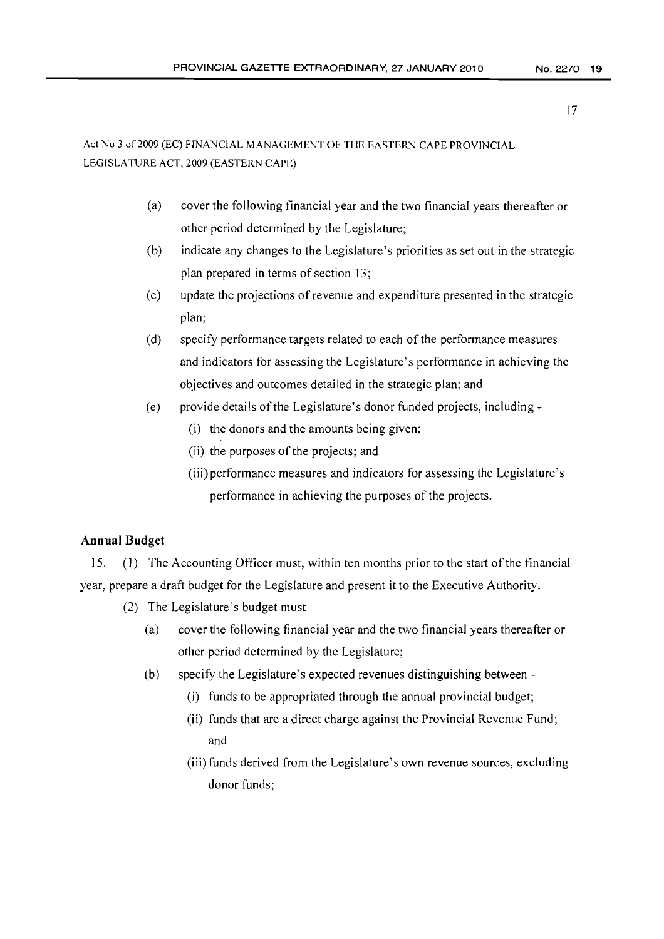# Act No 3 of 2009 (EC) FINANCIAL MANAGEMENT OF THE EASTERN CAPE PROVINCIAL LEGISLATURE ACT, 2009 (EASTERN CAPE)

- (a) cover the following financial year and the two financial years thereafter or other period determined by the Legislature;
- (b) indicate any changes to the Legislature's priorities as set out in the strategic plan prepared in terms of section 13;
- (c) update the projections of revenue and expenditure presented in the strategic plan;
- (d) specify performance targets related to each of the performance measures and indicators for assessing the Legislature's performance in achieving the objectives and outcomes detailed in the strategic plan; and
- (e) provide details ofthe Legislature's donor funded projects, including
	- (i) the donors and the amounts being given;
	- (ii) the purposes of the projects; and
	- (iii) performance measures and indicators for assessing the Legislature's performance in achieving the purposes of the projects.

# Annual Budget

15. (I) The Accounting Officer must, within ten months prior to the start ofthe financial year, prepare a draft budget for the Legislature and present it to the Executive Authority.

- (2) The Legislature's budget must  $-$ 
	- (a) cover the following financial year and the two financial years thereafter or other period determined by the Legislature;
	- (b) specify the Legislature's expected revenues distinguishing between
		- (i) funds to be appropriated through the annual provincial budget;
		- (ii) funds that are a direct charge against the Provincial Revenue Fund; and
		- (iii) funds derived from the Legislature's own revenue sources, excluding donor funds;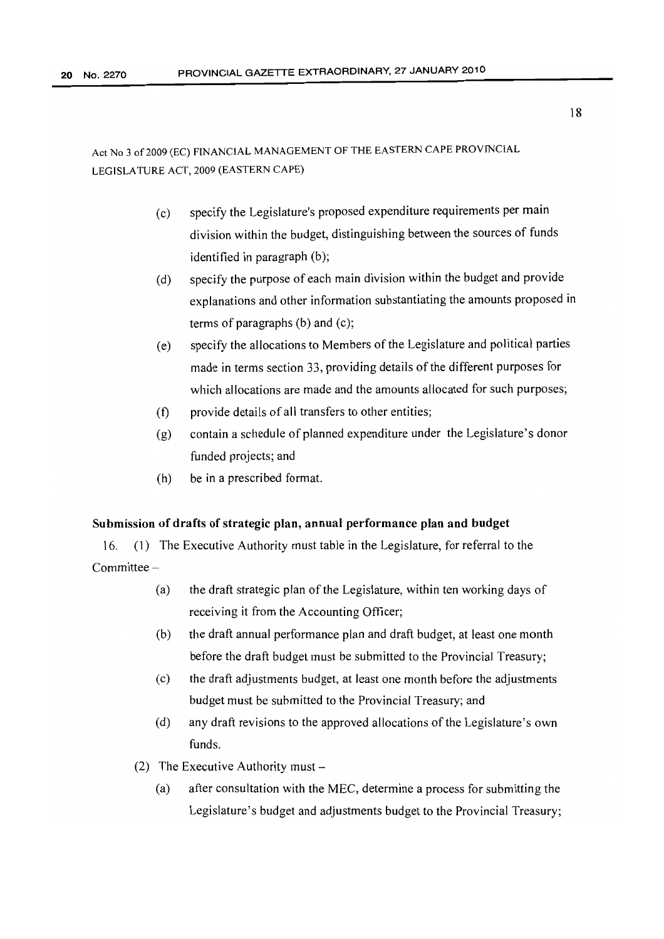- (c) specify the Legislature's proposed expenditure requirements per main division within the budget, distinguishing between the sources of funds identified in paragraph (b);
- (d) specify the purpose of each main division within the budget and provide explanations and other information substantiating the amounts proposed in terms of paragraphs (b) and (c);
- (e) specify the allocations to Members of the Legislature and political parties made in terms section 33, providing details of the different purposes for which allocations are made and the amounts allocated for such purposes;
- (f) provide details of all transfers to other entities;
- (g) contain a schedule of planned expenditure under the Legislature's donor funded projects; and
- (h) be in a prescribed format.

#### Submission of drafts of strategic plan, annual performance plan and budget

16. (1) The Executive Authority must table in the Legislature, for referral to the Committee -

- (a) the draft strategic plan of the Legislature, within ten working days of receiving it from the Accounting Officer;
- (b) the draft annual performance plan and draft budget, at least one month before the draft budget must be submitted to the Provincial Treasury;
- (c) the draft adjustments budget, at least one month before the adjustments budget must be submitted to the Provincial Treasury; and
- (d) any draft revisions to the approved allocations ofthe Legislature's own funds.
- (2) The Executive Authority must  $-$ 
	- (a) after consultation with the MEC, determine a process for submitting the Legislature's budget and adjustments budget to the Provincial Treasury;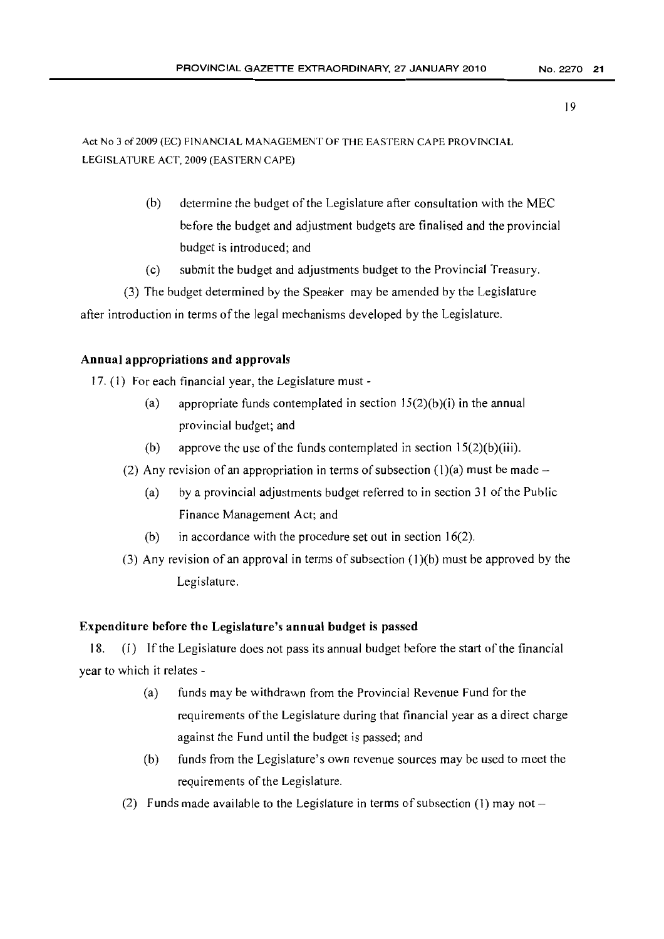Act No 3 of2009 (EC) FINANCIAL MANAGEMENT OF THE EASTERN CAPE PROVINCIAL LEGISLATURE ACT, 2009 (EASTERN CAPE)

- (b) determine the budget of the Legislature after consultation with the MEC before the budget and adjustment budgets are finalised and the provincial budget is introduced; and
- (c) submit the budget and adjustments budget to the Provincial Treasury.

(3) The budget determined by the Speaker may be amended by the Legislature after introduction in terms of the legal mechanisms developed by the Legislature.

# Annual appropriations and approvals

17. (I) For each financial year, the Legislature must -

- (a) appropriate funds contemplated in section  $15(2)(b)(i)$  in the annual provincial budget; and
- (b) approve the use of the funds contemplated in section  $15(2)(b)(iii)$ .
- (2) Any revision of an appropriation in terms of subsection (1)(a) must be made  $-$ 
	- (a) by a provincial adjustments budget referred to in section  $31$  of the Public Finance Management Act; and
	- (b) in accordance with the procedure set out in section 16(2).
- (3) Any revision of an approval in terms of subsection  $(1)(b)$  must be approved by the Legislature.

## Expenditure before the Legislature's annual budget is passed

18. (1) If the Legislature does not pass its annual budget before the start of the financial year to which it relates -

- (a) funds may be withdrawn from the Provincial Revenue Fund for the requirements of the Legislature during that financial year as a direct charge against the Fund until the budget is passed; and
- (b) funds from the Legislature's own revenue sources may be used to meet the requirements of the Legislature.
- (2) Funds made available to the Legislature in terms of subsection (1) may not  $-$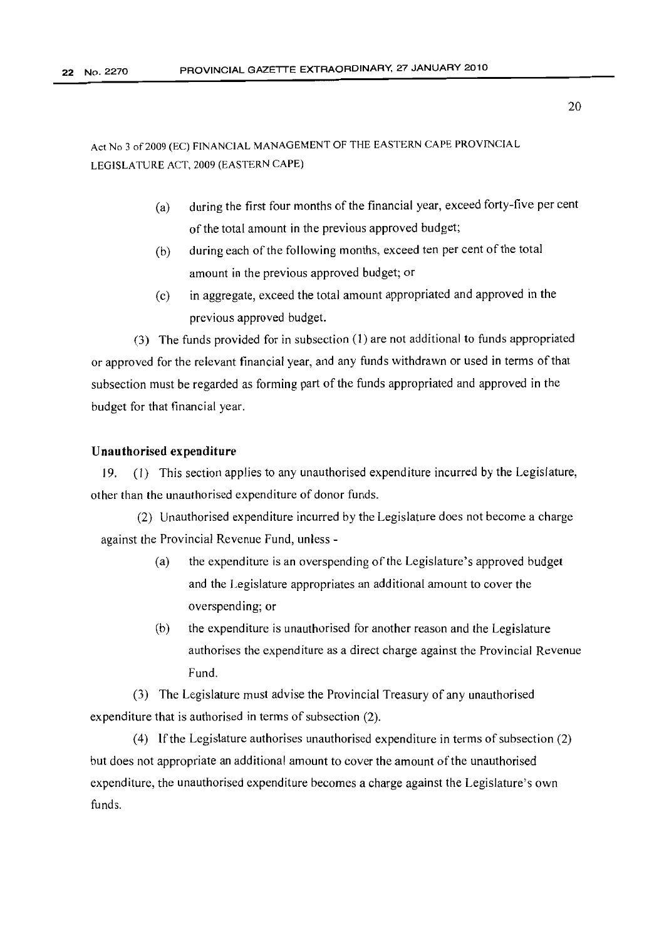- (a) during the first four months of the financial year, exceed forty-five per cent of the total amount in the previous approved budget;
- (b) during each of the following months, exceed ten per cent of the total amount in the previous approved budget; or
- (c) in aggregate, exceed the total amount appropriated and approved in the previous approved budget.

(3) The funds provided for in subsection (l) are not additional to funds appropriated or approved for the relevant financial year, and any funds withdrawn or used in terms ofthat subsection must be regarded as forming part of the funds appropriated and approved in the budget for that financial year.

#### Unauthorised expenditure

19. (I) This section applies to any unauthorised expenditure incurred by the Legislature, other than the unauthorised expenditure of donor funds.

(2) Unauthorised expenditure incurred by the Legislature does not become a charge against the Provincial Revenue Fund, unless -

- (a) the expenditure is an overspending of the Legislature's approved budget and the Legislature appropriates an additional amount to cover the overspending; or
- (b) the expenditure is unauthorised for another reason and the Legislature authorises the expenditure as a direct charge against the Provincial Revenue Fund.

(3) The Legislature must advise the Provincial Treasury of any unauthorised expenditure that is authorised in terms of subsection (2).

(4) If the Legislature authorises unauthorised expenditure in terms of subsection  $(2)$ but does not appropriate an additional amount to cover the amount of the unauthorised expenditure, the unauthorised expenditure becomes a charge against the Legislature's own funds.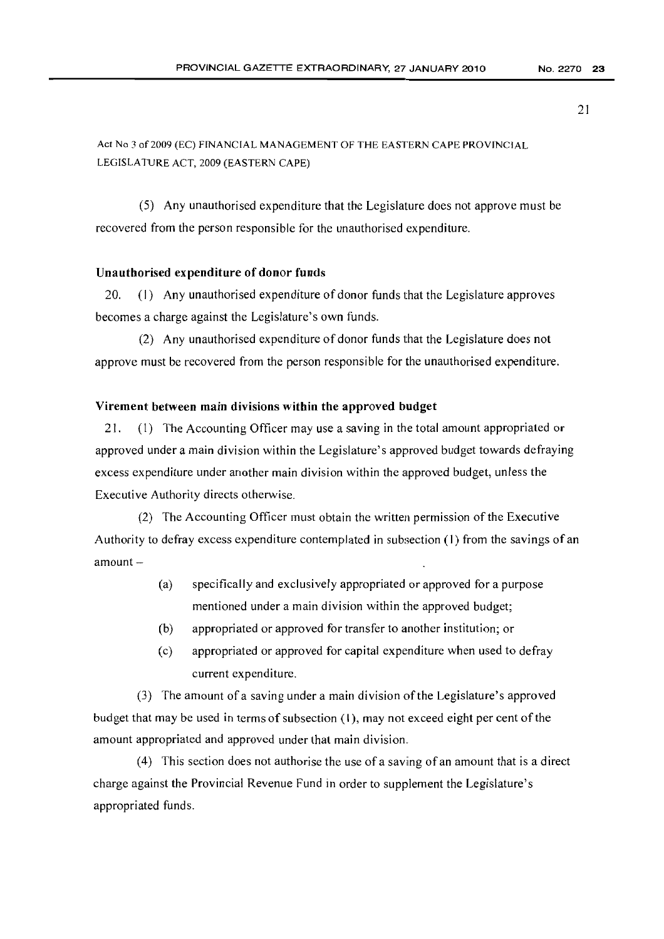(5) Any unauthorised expenditure that the Legislature does not approve must be recovered from the person responsible for the unauthorised expenditure.

#### Unauthorised expenditure of donor funds

20. (1) Any unauthorised expenditure of donor funds that the Legislature approves becomes a charge against the Legislature's own funds.

(2) Any unauthorised expenditure of donor funds that the Legislature does not approve must be recovered from the person responsible for the unauthorised expenditure.

#### Virement between main divisions within the approved budget

21. (I) The Accounting Officer may use a saving in the total amount appropriated or approved under a main division within the Legislature's approved budget towards defraying excess expenditure under another main division within the approved budget, unless the Executive Authority directs otherwise.

(2) The Accounting Officer must obtain the written permission ofthe Executive Authority to defray excess expenditure contemplated in subsection (I) from the savings of an  $amount -$ 

- (a) specifically and exclusively appropriated or approved for a purpose mentioned under a main division within the approved budget;
- (b) appropriated or approved for transfer to another institution; or
- (c) appropriated or approved for capital expenditure when used to defray current expenditure.

(3) The amount of a saving under a main division ofthe Legislature's approved budget that may be used in terms of subsection  $(1)$ , may not exceed eight per cent of the amount appropriated and approved under that main division.

(4) This section does not authorise the use of a saving of an amount that is a direct charge against the Provincial Revenue Fund in order to supplement the Legislature's appropriated funds.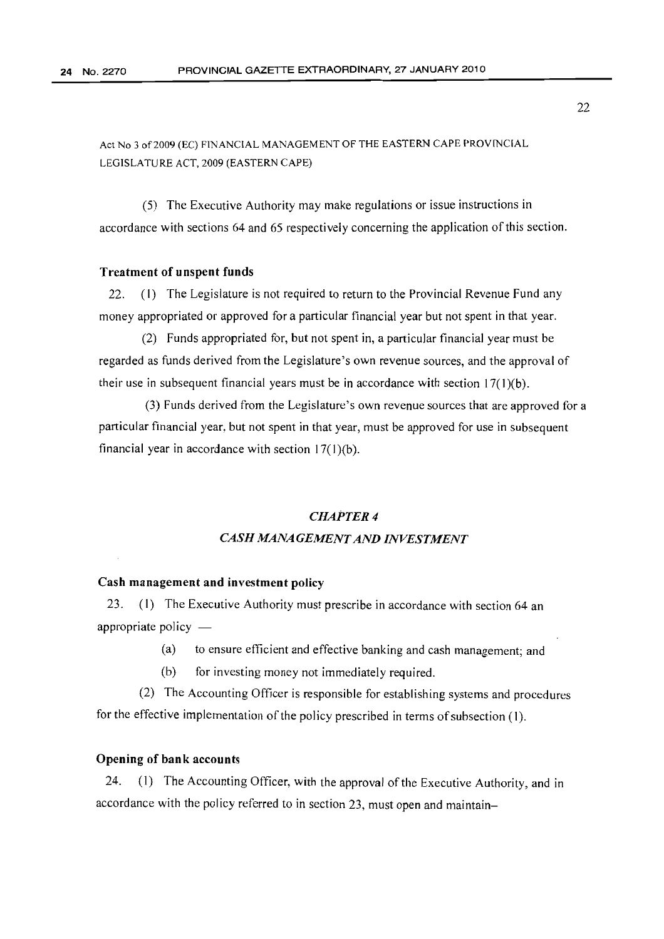(5) The Executive Authority may make regulations or issue instructions in accordance with sections 64 and 65 respectively concerning the application of this section.

#### Treatment of unspent funds

22. (I) The Legislature is not required to return to the Provincial Revenue Fund any money appropriated or approved for a particular financial year but not spent in that year.

(2) Funds appropriated for, but not spent in, a particular financial year must be regarded as funds derived from the Legislature's own revenue sources, and the approval of their use in subsequent financial years must be in accordance with section 17(1)(b).

(3) Funds derived from the Legislature's own revenue sources that are approved for a particular financial year, but not spent in that year, must be approved for use in subsequent financial year in accordance with section  $17(1)(b)$ .

# *CHAPTER* 4 *CASH MANAGEMENT AND INVESTMENT*

## Cash management and investment policy

23. (1) The Executive Authority must prescribe in accordance with section 64 an appropriate policy  $-$ 

- (a) to ensure efficient and effective banking and cash management; and
- (b) for investing money not immediately required.

(2) The Accounting Officer is responsible for establishing systems and procedures for the effective implementation of the policy prescribed in terms of subsection (1).

# Opening of bank accounts

24. (1) The Accounting Officer, with the approval of the Executive Authority, and in accordance with the policy referred to in section 23, must open and maintain-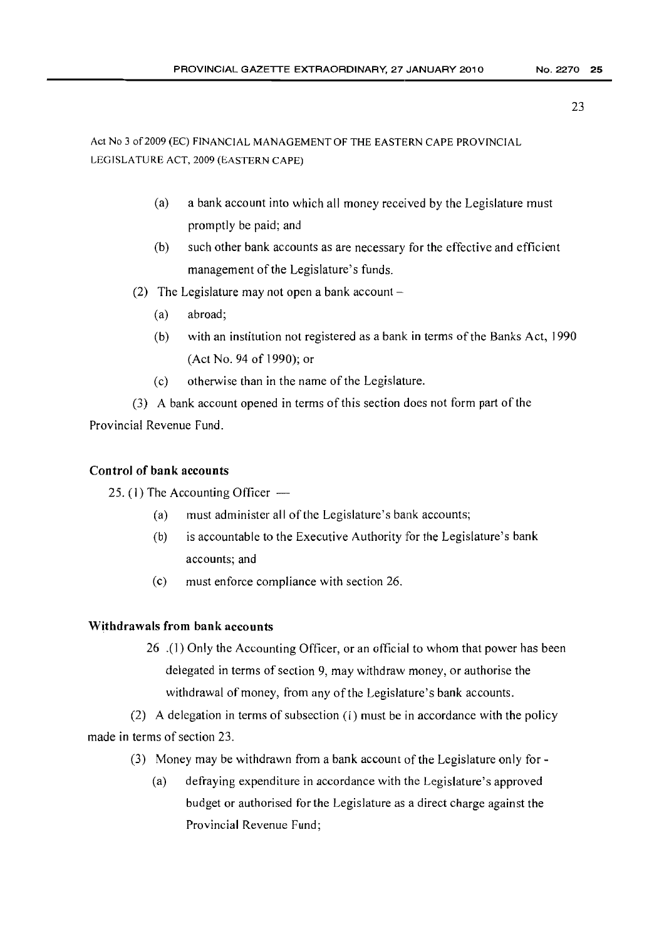Act No 3 of2009 (EC) FINANCIAL MANAGEMENT OF THE EASTERN CAPE PROVINCIAL LEGISLATURE ACT, 2009 (EASTERN CAPE)

- (a) a bank account into which all money received by the Legislature must promptly be paid; and
- (b) such other bank accounts as are necessary for the effective and efficient management of the Legislature's funds.
- (2) The Legislature may not open a bank account  $-$ 
	- (a) abroad;
	- $(b)$  with an institution not registered as a bank in terms of the Banks Act, 1990 (Act No. 94 of 1990); or
	- (c) otherwise than in the name of the Legislature.

(3) A bank account opened in terms of this section does not form part of the Provincial Revenue Fund.

# Control of bank accounts

25. (1) The Accounting Officer  $-$ 

- (a) must administer all of the Legislature's bank accounts;
- (b) is accountable to the Executive Authority for the Legislature's bank accounts; and
- (c) must enforce compliance with section 26.

# Withdrawals from bank accounts

26 .( I) Only the Accounting Officer, or an official to whom that power has been delegated in terms of section 9, may withdraw money, or authorise the withdrawal of money, from any of the Legislature's bank accounts.

(2) A delegation in terms of subsection  $(1)$  must be in accordance with the policy made in terms of section 23.

- (3) Money may be withdrawn from a bank account of the Legislature only for  $\text{-}$ 
	- (a) defraying expenditure in accordance with the Legislature's approved budget or authorised for the Legislature as a direct charge against the Provincial Revenue Fund;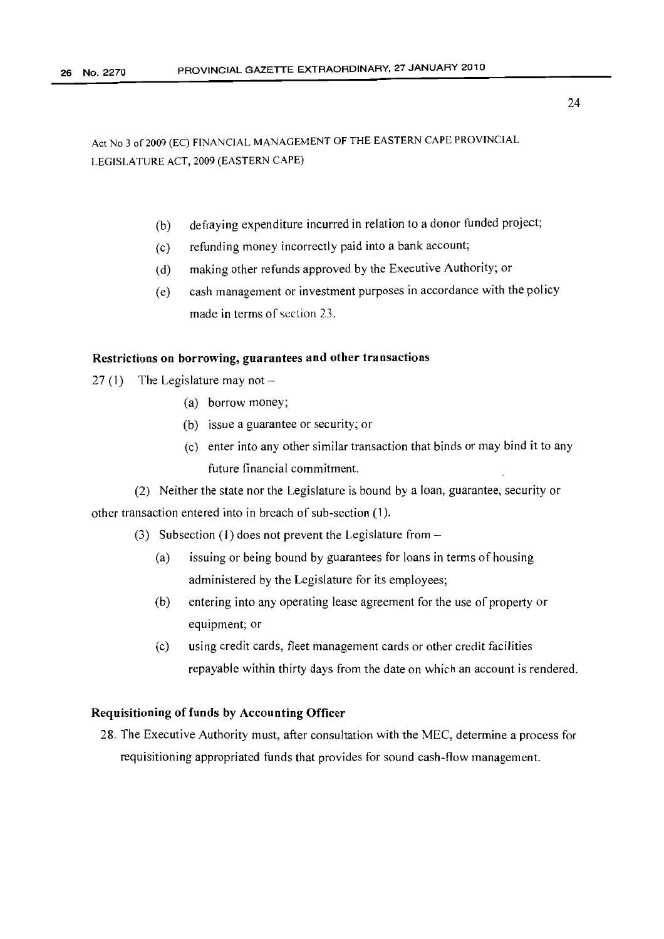- (b) defraying expenditure incurred in relation to a donor funded project;
- (c) refunding money incorrectly paid into a bank account;
- (d) making other refunds approved by the Executive Authority; or
- (e) cash management or investment purposes in accordance with the policy made in terms of section 23.

#### Restrictions on borrowing, guarantees and other transactions

- 27 (1) The Legislature may not  $-$ 
	- (a) borrow money;
	- (b) issue a guarantee or security; or
	- (c) enter into any other similar transaction that binds or may bind it to any future financial commitment.

(2) Neither the state nor the Legislature is bound by a loan, guarantee, security or other transaction entered into in breach of sub-section (1).

- (3) Subsection (1) does not prevent the Legislature from  $-$ 
	- (a) issuing or being bound by guarantees for loans in terms of housing administered by the Legislature for its employees;
	- (b) entering into any operating lease agreement for the use of property or equipment; or
	- (c) using credit cards, fleet management cards or other credit facilities repayable within thirty days from the date on which an account is rendered.

# Requisitioning of funds by Accounting Officer

28. The Executive Authority must, after consultation with the MEC, determine a process for requisitioning appropriated funds that provides for sound cash-flow management.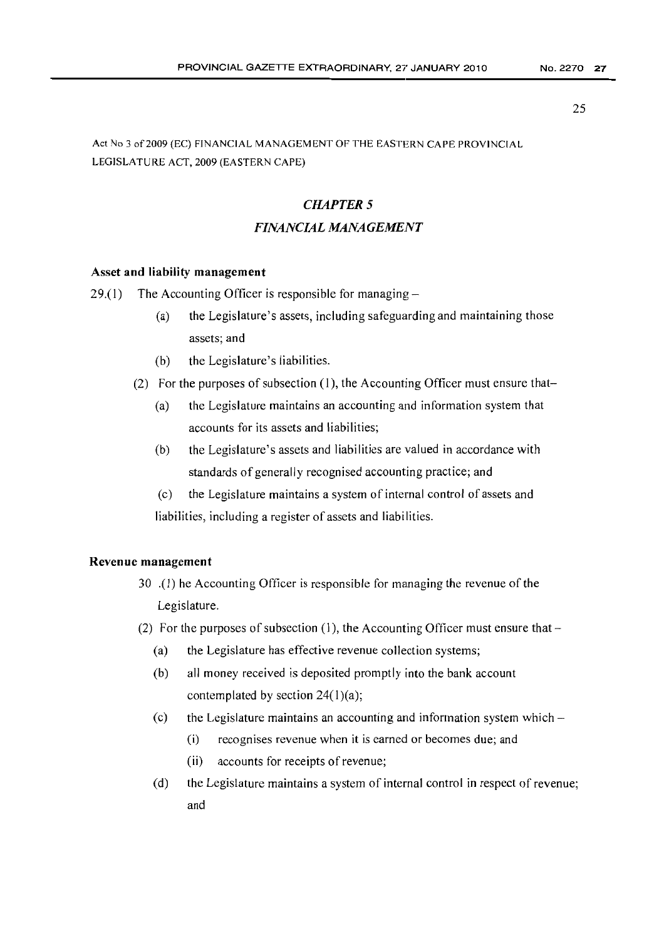Act No 3 of 2009 (EC) FINANCIAL MANAGEMENT OF THE EASTERN CAPE PROVINCIAL LEGISLATURE ACT, 2009 (EASTERN CAPE)

# *CHAPTER 5 FINANCIAL MANAGEMENT*

#### Asset and liability management

29.(1) The Accounting Officer is responsible for managing  $-$ 

- (a) the Legislature's assets, including safeguarding and maintaining those assets; and
- (b) the Legislature's liabilities.
- (2) For the purposes of subsection  $(1)$ , the Accounting Officer must ensure that-
	- (a) the Legislature maintains an accounting and information system that accounts for its assets and liabilities;
	- (b) the Legislature's assets and liabilities are valued in accordance with standards of generally recognised accounting practice; and
	- (c) the Legislature maintains a system of internal control of assets and liabilities, including a register of assets and liabilities.

#### Revenue management

- 30 .(1) he Accounting Officer is responsible for managing the revenue ofthe Legislature.
- (2) For the purposes of subsection (1), the Accounting Officer must ensure that  $-$ 
	- (a) the Legislature has effective revenue collection systems;
	- (b) all money received is deposited promptly into the bank account contemplated by section  $24(1)(a)$ ;
	- (c) the Legislature maintains an accounting and information system which  $-$ 
		- (i) recognises revenue when it is earned or becomes due; and
		- (ii) accounts for receipts of revenue;
	- (d) the Legislature maintains a system of internal control in respect of revenue; and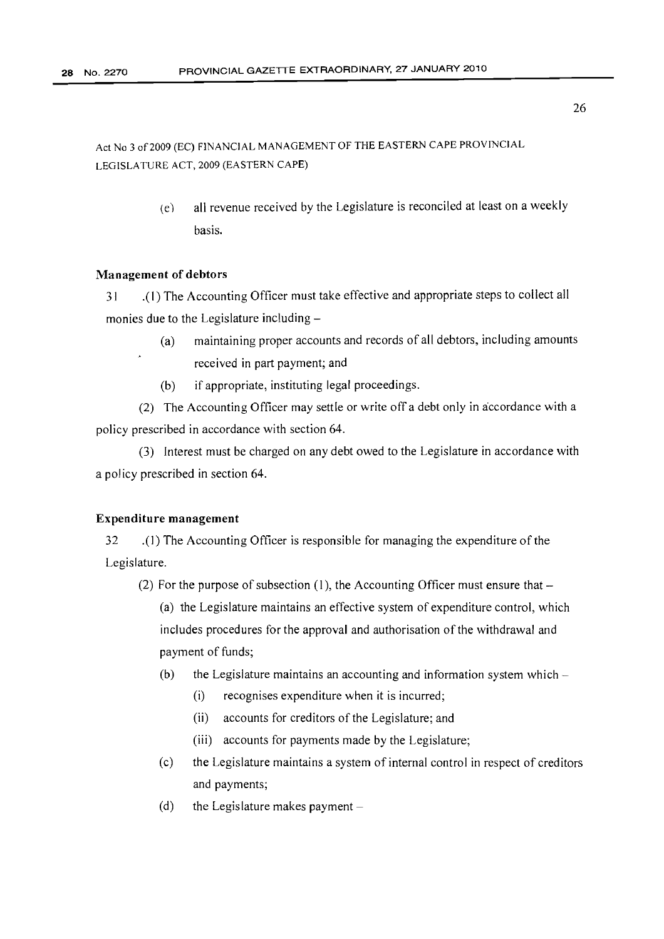> (C) all revenue received by the Legislature is reconciled at least on a weekly basis.

# Management of debtors

31 .(1) The Accounting Officer must take effective and appropriate steps to collect all monies due to the Legislature including-

- (a) maintaining proper accounts and records of all debtors, including amounts received in part payment; and
- (b) if appropriate, instituting legal proceedings.

(2) The Accounting Officer may settle or write off a debt only in accordance with a policy prescribed in accordance with section 64.

(3) Interest must be charged on any debt owed to the Legislature in accordance with a policy prescribed in section 64.

#### Expenditure management

32 .( 1) The Accounting Officer is responsible for managing the expenditure ofthe Legislature.

(2) For the purpose of subsection (1), the Accounting Officer must ensure that  $-$ 

(a) the Legislature maintains an effective system of expenditure control, which includes procedures for the approval and authorisation of the withdrawal and payment of funds;

- (b) the Legislature maintains an accounting and information system which  $-$ 
	- (i) recognises expenditure when it is incurred;
	- (ii) accounts for creditors of the Legislature; and
	- (iii) accounts for payments made by the Legislature;
- (c) the Legislature maintains a system of internal control in respect of creditors and payments;
- (d) the Legislature makes payment  $-$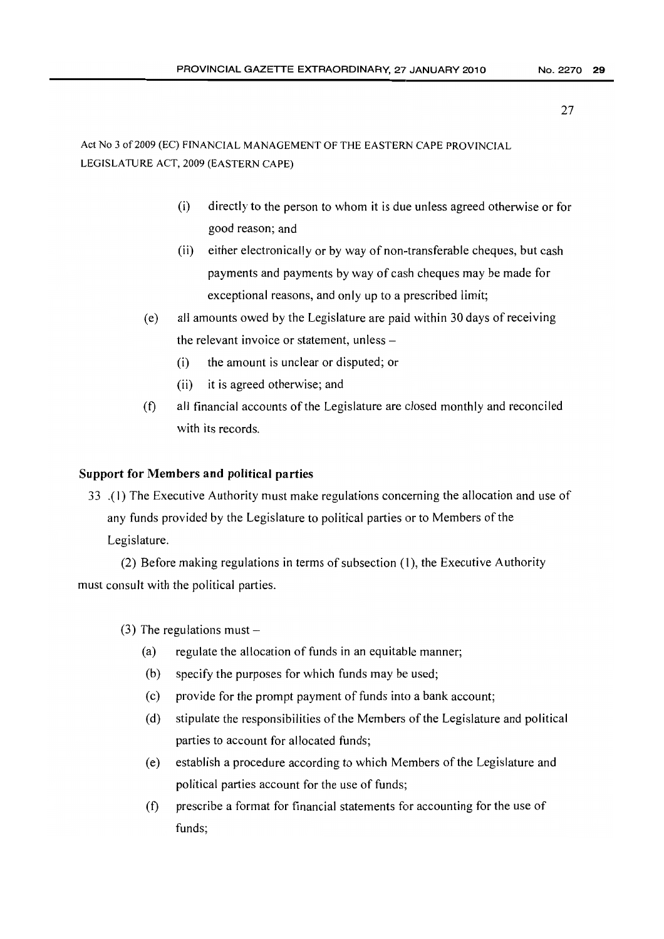# Act No 3 of2009 (EC) FINANCIAL MANAGEMENT OF THE EASTERN CAPE PROVINCIAL LEGISLATURE ACT, 2009 (EASTERN CAPE)

- (i) directly to the person to whom it is due unless agreed otherwise or for good reason; and
- (ii) either electronically or by way of non-transferable cheques, but cash payments and payments by way of cash cheques may be made for exceptional reasons, and only up to a prescribed limit;
- (e) all amounts owed by the Legislature are paid within 30 days of receiving the relevant invoice or statement, unless -
	- (i) the amount is unclear or disputed; or
	- (ii) it is agreed otherwise; and
- (t) all financial accounts of the Legislature are closed monthly and reconciled with its records.

# Support for Members and political parties

33 .( I) The Executive Authority must make regulations concerning the allocation and use of any funds provided by the Legislature to political parties or to Members of the Legislature.

(2) Before making regulations in terms of subsection  $(1)$ , the Executive Authority must consult with the political parties.

- (3) The regulations must  $-$ 
	- $(a)$  regulate the allocation of funds in an equitable manner;
	- (b) specify the purposes for which funds may be used;
	- (c) provide for the prompt payment of funds into a bank account;
	- $(d)$  stipulate the responsibilities of the Members of the Legislature and political parties to account for allocated funds;
	- (e) establish a procedure according to which Members ofthe Legislature and political parties account for the use of funds;
	- (t) prescribe a format for financial statements for accounting for the use of funds;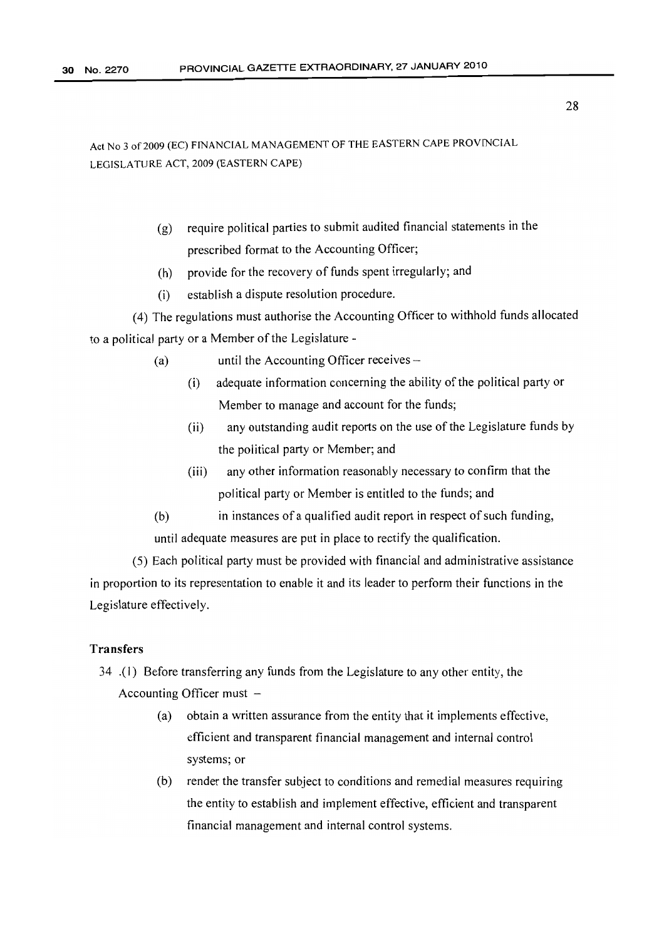- (g) require political parties to submit audited financial statements in the prescribed format to the Accounting Officer;
- (h) provide for the recovery of funds spent irregularly; and
- (i) establish a dispute resolution procedure.

(4) The regulations must authorise the Accounting Officer to withhold funds allocated to a political party or a Member of the Legislature -

- (a) until the Accounting Officer receives
	- $(i)$  adequate information concerning the ability of the political party or Member to manage and account for the funds;
	- (ii) any outstanding audit reports on the use of the Legislature funds by the political party or Member; and
	- (iii) any other information reasonably necessary to confirm that the political party or Member is entitled to the funds; and
- (b) in instances of a qualified audit report in respect of such funding, until adequate measures are put in place to rectify the qualification.

(5) Each political party must be provided with financial and administrative assistance in proportion to its representation to enable it and its leader to perform their functions in the Legislature effectively.

# Transfers

- 34 .(1) Before transferring any funds from the Legislature to any other entity, the Accounting Officer must  $-$ 
	- (a) obtain a written assurance from the entity that it implements effective, efficient and transparent financial management and internal control systems; or
	- (b) render the transfer subject to conditions and remedial measures requiring the entity to establish and implement effective, efficient and transparent financial management and internal control systems.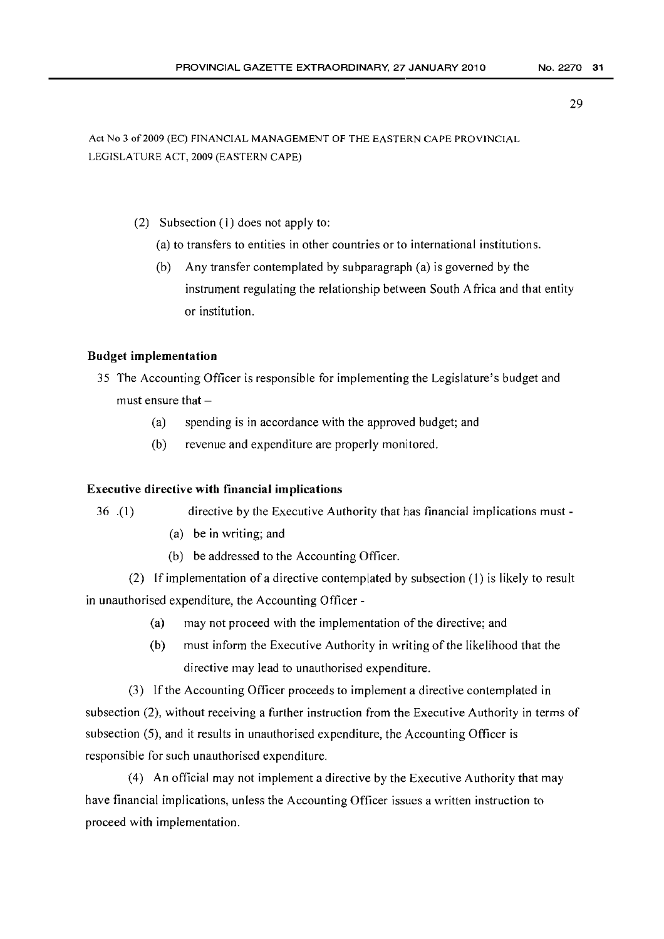Act No 3 of 2009 (EC) FINANCIAL MANAGEMENT OF THE EASTERN CAPE PROVINCIAL LEGISLATURE ACT, 2009 (EASTERN CAPE)

- (2) Subsection (1) does not apply to:
	- (a) to transfers to entities in other countries or to international institutions.
	- (b) Any transfer contemplated by subparagraph (a) is governed by the instrument regulating the relationship between South Africa and that entity or institution.

# Budget implementation

- 35 The Accounting Officer is responsible for implementing the Legislature's budget and must ensure that  $-$ 
	- (a) spending is in accordance with the approved budget; and
	- (b) revenue and expenditure are properly monitored.

## Executive directive with financial implications

- 
- 36 .(1) directive by the Executive Authority that has financial implications must-
	- (a) be in writing; and
	- (b) be addressed to the Accounting Officer.

(2) If implementation of a directive contemplated by subsection (1) is likely to result in unauthorised expenditure, the Accounting Officer -

- (a) may not proceed with the implementation of the directive; and
- (b) must inform the Executive Authority in writing of the likelihood that the directive may lead to unauthorised expenditure.

(3) If the Accounting Officer proceeds to implement a directive contemplated in subsection (2), without receiving a further instruction from the Executive Authority in terms of subsection (5), and it results in unauthorised expenditure, the Accounting Officer is responsible for such unauthorised expenditure.

(4) An official may not implement a directive by the Executive Authority that may have financial implications, unless the Accounting Officer issues a written instruction to proceed with implementation.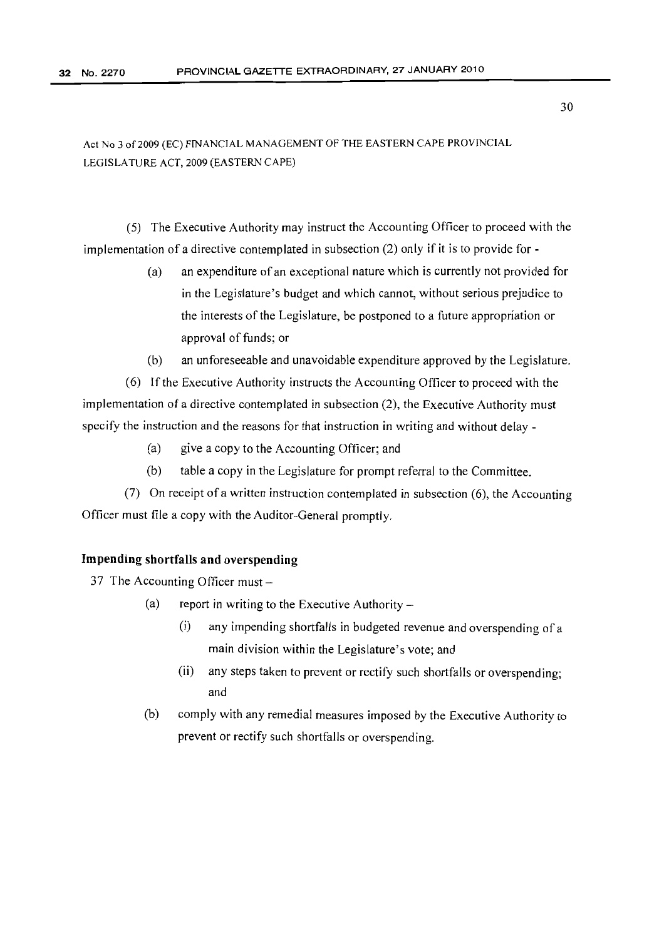(5) The Executive Authority may instruct the Accounting Officer to proceed with the implementation of a directive contemplated in subsection (2) only if it is to provide for -

- (a) an expenditure of an exceptional nature which is currently not provided for in the Legislature's budget and which cannot, without serious prejudice to the interests of the Legislature, be postponed to a future appropriation or approval of funds; or
- (b) an unforeseeable and unavoidable expenditure approved by the Legislature.

(6) If the Executive Authority instructs the Accounting Officer to proceed with the implementation of a directive contemplated in subsection (2), the Executive Authority must specify the instruction and the reasons for that instruction in writing and without delay -

- (a) give a copy to the Accounting Officer; and
- (b) table a copy in the Legislature for prompt referral to the Committee.

(7) On receipt of a written instruction contemplated in subsection (6), the Accounting Officer must file a copy with the Auditor-General promptly.

# Impending shortfalls and overspending

37 The Accounting Officer must-

- (a) report in writing to the Executive Authority  $-$ 
	- (i) any impending shortfalls in budgeted revenue and overspending of a main division within the Legislature's vote; and
	- (ii) any steps taken to prevent or rectify such shortfalls or overspending; and
- (b) comply with any remedial measures imposed by the Executive Authority to prevent or rectify such shortfalls or overspending.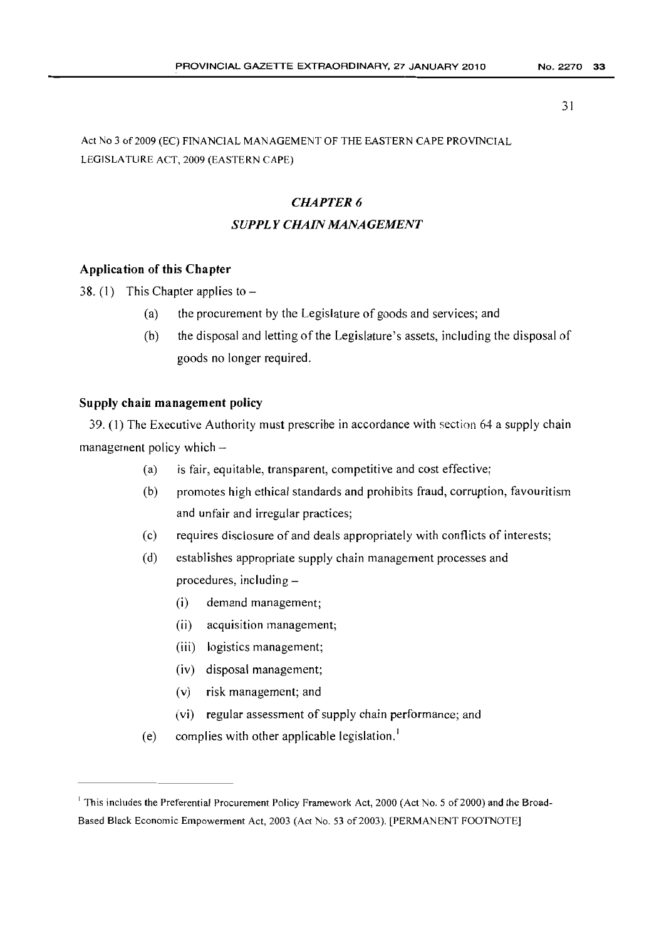Act No 3 of 2009 (EC) FINANCIAL MANAGEMENT OF THE EASTERN CAPE PROVINCIAL LEGISLATURE *ACT,* 2009 (EASTERN CAPE)

# *CHAPTER* 6 *SUPPLY CHAIN MANAGEMENT*

# Application of this Chapter

38. (1) This Chapter applies to  $-$ 

- (a) the procurement by the Legislature of goods and services; and
- $(b)$  the disposal and letting of the Legislature's assets, including the disposal of goods no longer required.

# Supply chain management policy

39. (I) The Executive Authority must prescribe in accordance with section 64 a supply chain management policy which  $-$ 

- (a) is fair, equitable, transparent, competitive and cost effective;
- (b) promotes high ethical standards and prohibits fraud, corruption, favouritism and unfair and irregular practices;
- (c) requires disclosure of and deals appropriately with conflicts of interests;
- (d) establishes appropriate supply chain management processes and procedures, including-
	- (i) demand management;
	- (ii) acquisition management;
	- (iii) logistics management;
	- (iv) disposal management;
	- (v) risk management; and
	- (vi) regular assessment of supply chain performance; and
- (e) complies with other applicable legislation.<sup>1</sup>

<sup>&</sup>lt;sup>1</sup> This includes the Preferential Procurement Policy Framework Act, 2000 (Act No. 5 of 2000) and the Broad-Based Black Economic Empowerment Act, 2003 (Act No. 53 of 2003). [PERMANENT FOOTNOTE]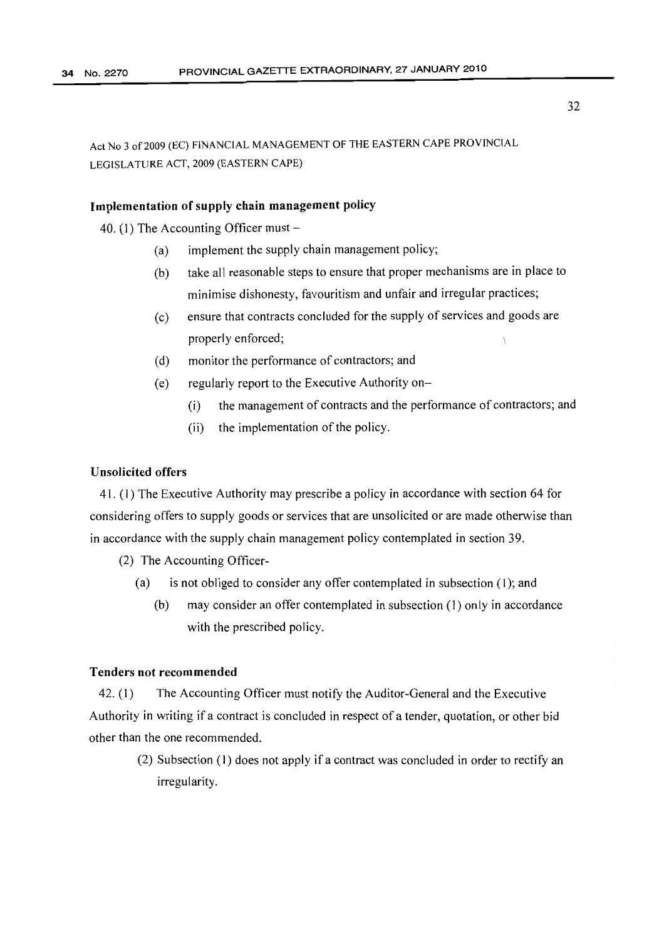## Implementation of supply chain management policy

40. (1) The Accounting Officer must  $-$ 

- (a) implement the supply chain management policy;
- (b) take all reasonable steps to ensure that proper mechanisms are in place to minimise dishonesty, favouritism and unfair and irregular practices;
- (c) ensure that contracts concluded for the supply of services and goods are properly enforced;
- (d) monitor the performance of contractors; and
- (e) regularly report to the Executive Authority on-
	- (i) the management of contracts and the performance of contractors; and
	- (ii) the implementation of the policy.

# Unsolicited offers

41. (1) The Executive Authority may prescribe a policy in accordance with section 64 for considering offers to supply goods or services that are unsolicited or are made otherwise than in accordance with the supply chain management policy contemplated in section 39.

(2) The Accounting Officer-

- (a) is not obliged to consider any offer contemplated in subsection (I); and
	- (b) may consider an offer contemplated in subsection (I) only in accordance with the prescribed policy.

#### Tenders not recommended

42. (I) The Accounting Officer must notify the Auditor-General and the Executive Authority in writing if a contract is concluded in respect of a tender, quotation, or other bid other than the one recommended.

> (2) Subsection (1) does not apply if a contract was concluded in order to rectify an irregularity.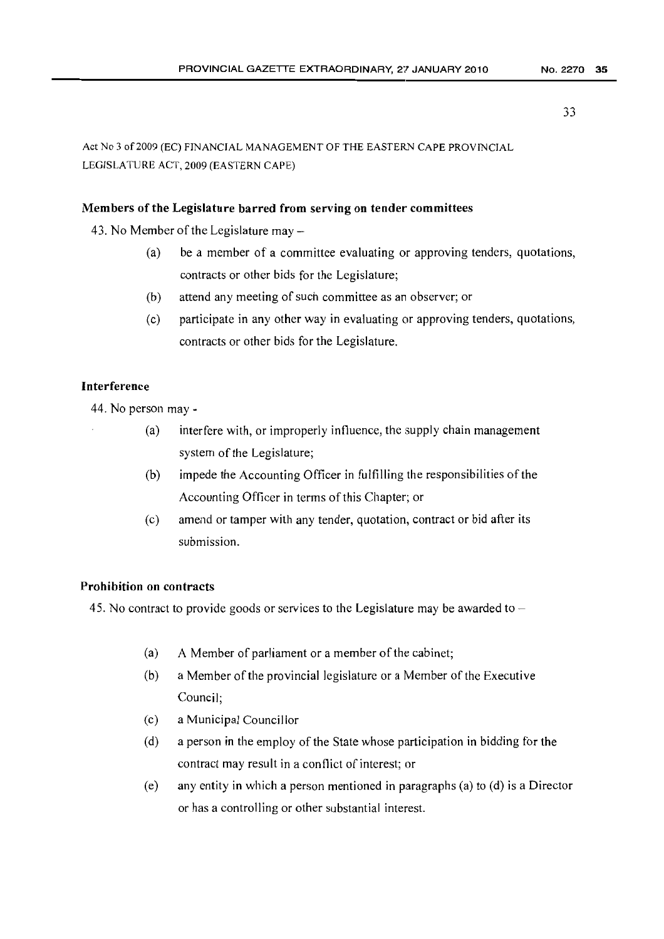Act No 3 of 2009 (EC) FINANCIAL MANAGEMENT OF THE EASTERN CAPE PROVINCIAL LEGISLATURE ACT, 2009 (EASTERN CAPE)

# Members of the Legislature barred from serving on tender committees

43. No Member of the Legislature may  $-$ 

- (a) be a member of a committee evaluating or approving tenders, quotations, contracts or other bids for the Legislature;
- (b) attend any meeting of such committee as an observer; or
- (c) participate in any other way in evaluating or approving tenders, quotations, contracts or other bids for the Legislature.

# Interference

44. No person may -

- (a) interfere with, or improperly influence, the supply chain management system of the Legislature;
- (b) impede the Accounting Officer in fulfilling the responsibilities of the Accounting Officer in terms of this Chapter; or
- (c) amend or tamper with any tender, quotation, contract or bid after its submission.

# Prohibition on contracts

45. No contract to provide goods or services to the Legislature may be awarded to  $-$ 

- (a) A Member of parliament or a member of the cabinet;
- $(b)$  a Member of the provincial legislature or a Member of the Executive Council;
- (c) a Municipal Councillor
- (d) a person in the employ of the State whose participation in bidding for the contract may result in a conflict of interest; or
- (e) any entity in which a person mentioned in paragraphs (a) to (d) is a Director or has a controlling or other substantial interest.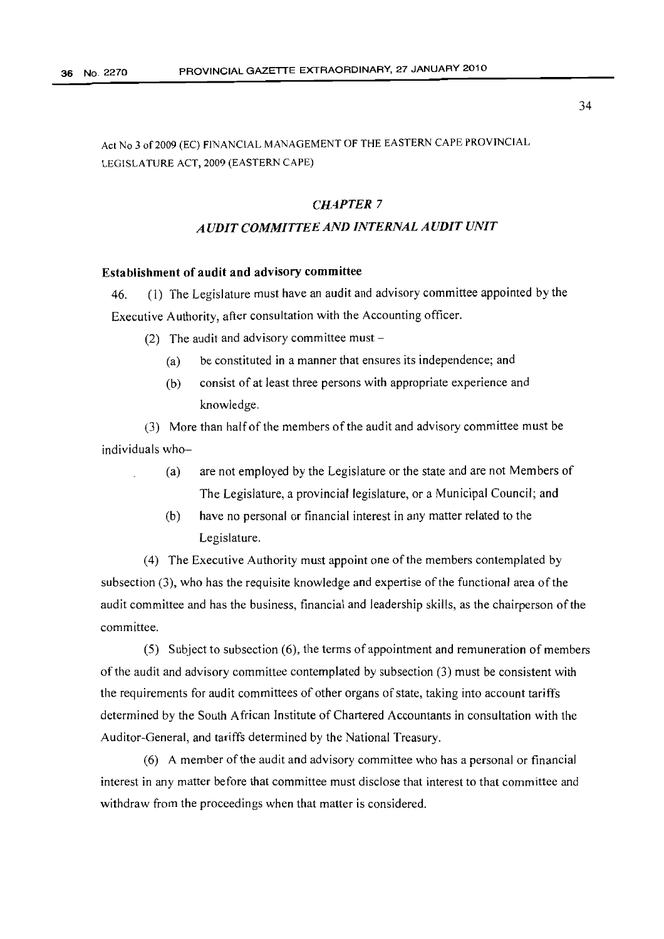Act No 3 of2009 (EC) FINANCIAL MANAGEMENT OF THE EASTERN CAPE PROVINCIAL LEGISLATURE ACT, 2009 (EASTERN CAPE)

# *CHAPTER 7*

# *A UDIT COMMITTEE AND INTERNAL A UDIT UNIT*

#### Establishment of audit and advisory committee

46. (1) The Legislature must have an audit and advisory committee appointed by the Executive Authority, after consultation with the Accounting officer.

(2) The audit and advisory committee must  $-$ 

- (a) be constituted in a manner that ensures its independence; and
- (b) consist of at least three persons with appropriate experience and knowledge.

(3) More than half ofthe members ofthe audit and advisory committee must be individuals who-

- (a) are not employed by the Legislature or the state and are not Members of The Legislature, a provincial legislature, or a Municipal Council; and
- (b) have no personal or financial interest in any matter related to the Legislature.

(4) The Executive Authority must appoint one ofthe members contemplated by subsection  $(3)$ , who has the requisite knowledge and expertise of the functional area of the audit committee and has the business, financial and leadership skills, as the chairperson ofthe committee.

(5) Subject to subsection (6), the terms of appointment and remuneration of members ofthe audit and advisory committee contemplated by subsection (3) must be consistent with the requirements for audit committees of other organs of state, taking into account tariffs determined by the South African Institute of Chartered Accountants in consultation with the Auditor-General, and tariffs determined by the National Treasury.

(6) A member ofthe audit and advisory committee who has a personal or financial interest in any matter before that committee must disclose that interest to that committee and withdraw from the proceedings when that matter is considered.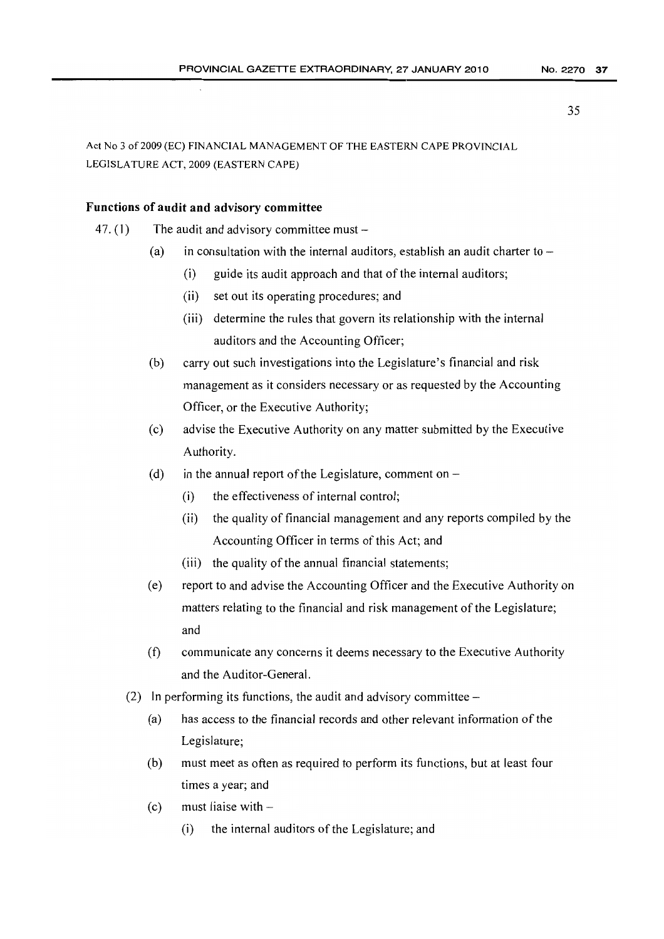Act No 3 of 2009 (EC) FINANCIAL MANAGEMENT OF THE EASTERN CAPE PROVINCIAL LEGISLATURE ACT, 2009 (EASTERN CAPE)

## Functions of audit and advisory committee

- 47. (1) The audit and advisory committee must  $-$ 
	- (a) in consultation with the internal auditors, establish an audit charter to  $-$ 
		- (i) guide its audit approach and that of the internal auditors;
		- (ii) set out its operating procedures; and
		- (iii) determine the rules that govern its relationship with the internal auditors and the Accounting Officer;
	- (b) carry out such investigations into the Legislature's financial and risk management as it considers necessary or as requested by the Accounting Officer, or the Executive Authority;
	- (c) advise the Executive Authority on any matter submitted by the Executive Authority.
	- (d) in the annual report of the Legislature, comment on  $-$ 
		- (i) the effectiveness of internal control;
		- (ii) the quality of financial management and any reports compiled by the Accounting Officer in terms of this Act; and
		- (iii) the quality of the annual financial statements;
	- (e) report to and advise the Accounting Officer and the Executive Authority on matters relating to the financial and risk management of the Legislature; and
	- (f) communicate any concerns it deems necessary to the Executive Authority and the Auditor-General.
	- (2) In performing its functions, the audit and advisory committee  $-$ 
		- (a) has access to the financial records and other relevant information ofthe Legislature;
		- (b) must meet as often as req uired to perform its functions, but at least four times a year; and
		- (c) must liaise with  $-$ 
			- (i) the internal aud itors of the Legislature; and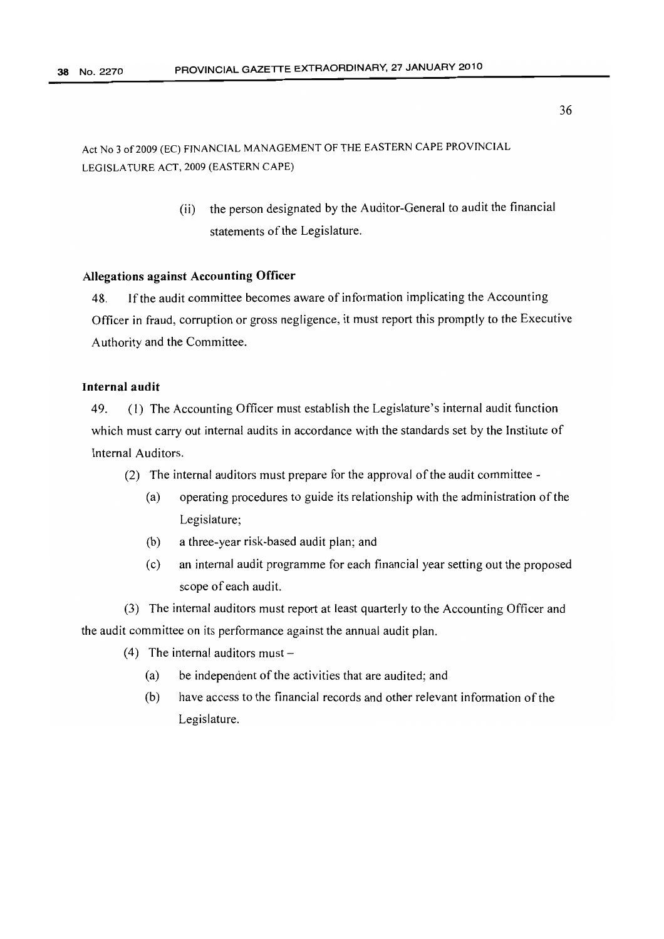> (ii) the person designated by the Auditor-General to audit the financial statements of the Legislature.

#### Allegations against Accounting Officer

48. Ifthe audit committee becomes aware of information implicating the Accounting Officer in fraud, corruption or gross negligence, it must report this promptly to the Executive Authority and the Committee.

# Internal audit

49. (I) The Accounting Officer must establish the Legislature's internal audit function which must carry out internal audits in accordance with the standards set by the Institute of Internal Auditors.

- (2) The internal auditors must prepare for the approval of the audit committee -
	- (a) operating procedures to guide its relationship with the administration ofthe Legislature;
	- (b) a three-year risk-based audit plan; and
	- (c) an internal audit programme for each financial year setting out the proposed scope of each audit.

(3) The internal auditors must report at least quarterly to the Accounting Officer and the audit committee on its performance against the annual audit plan.

- (4) The internal auditors must  $-$ 
	- (a) be independent of the activities that are audited; and
	- (b) have access to the financial records and other relevant information of the Legislature.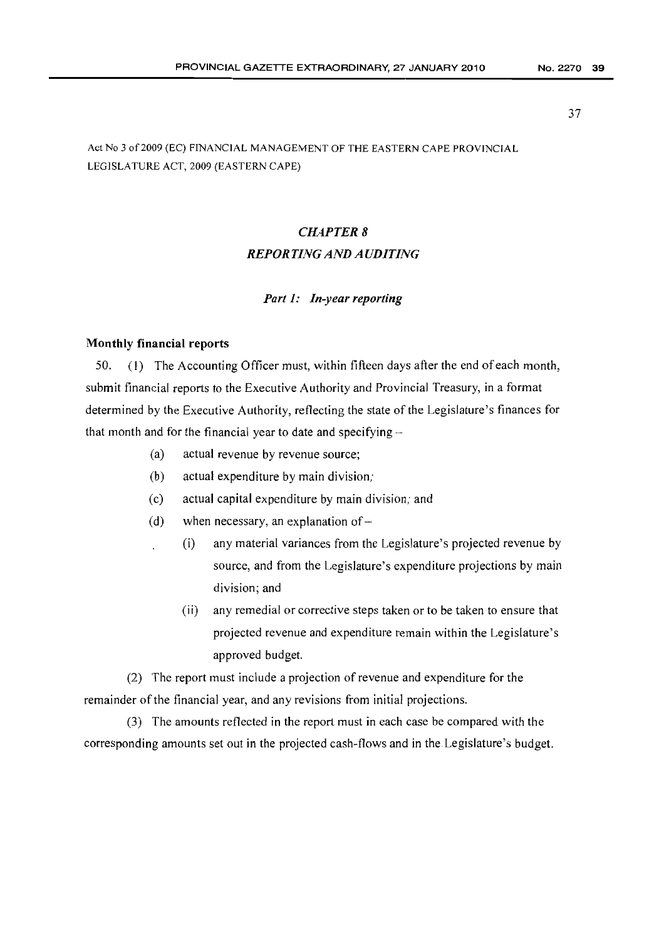# *CHAPTER* 8 *REPORTING AND AUDITING*

#### *Part* 1: *In-year reporting*

## Monthly financial reports

50. (I) The Accounting Officer must, within fifteen days after the end of each month, submit financial reports to the Executive Authority and Provincial Treasury, in a format determined by the Executive Authority, reflecting the state of the Legislature's finances for that month and for the financial year to date and specifying  $-$ 

- (a) actual revenue by revenue source;
- (b) actual expenditure by main division;
- (c) actual capital expenditure by main division; and
- (d) when necessary, an explanation of  $-$ 
	- (i) any material variances from the Legislature's projected revenue by source, and from the Legislature's expenditure projections by main division; and
		- (ii) any remedial or corrective steps taken or to be taken to ensure that projected revenue and expenditure remain within the Legislature's approved budget.

(2) The report must include a projection of revenue and expenditure for the remainder of the financial year, and any revisions from initial projections.

(3) The amounts reflected in the report must in each case be compared with the corresponding amounts set out in the projected cash-flows and in the.Legislature's budget.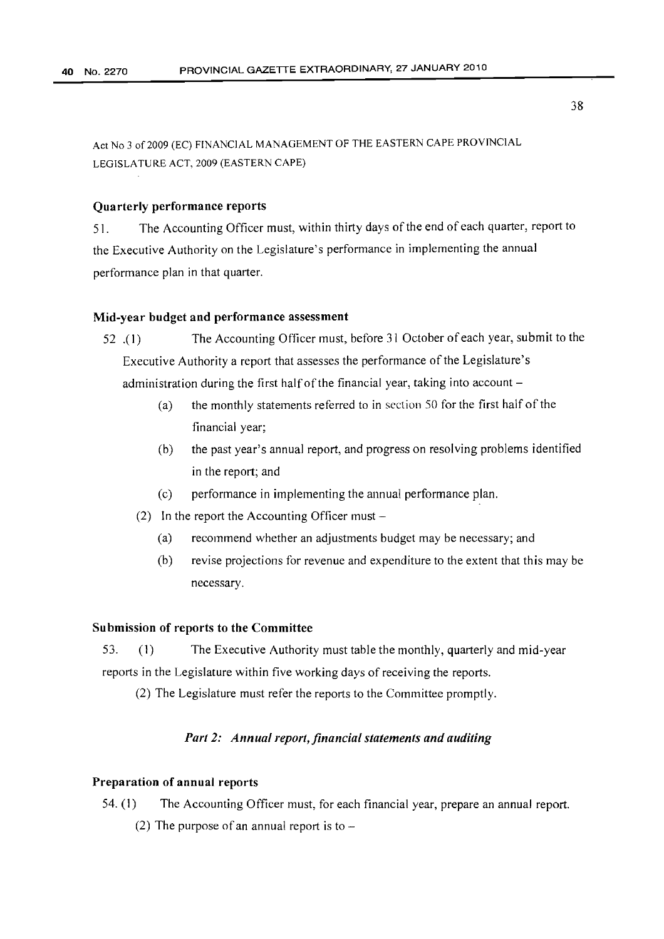#### Quarterly performance reports

51. The Accounting Officer must, within thirty days ofthe end of each quarter, report to the Executive Authority on the Legislature's performance in implementing the annual performance plan in that quarter.

#### Mid-year budget and performance assessment

52 .( I) The Accounting Officer must, before 31 October of each year, submit to the Executive Authority a report that assesses the performance of the Legislature's administration during the first half of the financial year, taking into account  $-$ 

- (a) the monthly statements referred to in section 50 for the first half of the financial year;
- (b) the past year's annual report, and progress on resolving problems identified in the report; and
- (c) performance in implementing the annual performance plan.
- (2) In the report the Accounting Officer must  $-$ 
	- (a) recommend whether an adjustments budget may be necessary; and
	- (b) revise projections for revenue and expenditure to the extent that this may be necessary.

## Submission of reports to the Committee

53. (1) The Executive Authority must table the monthly, quarterly and mid-year reports in the Legislature within five working days of receiving the reports.

(2) The Legislature must refer the reports to the Committee promptly.

# *Part 2: Annual report, financial statements and auditing*

#### Preparation of annual reports

- 54. (1) The Accounting Officer must, for each financial year, prepare an annual report.
	- (2) The purpose of an annual report is to  $-$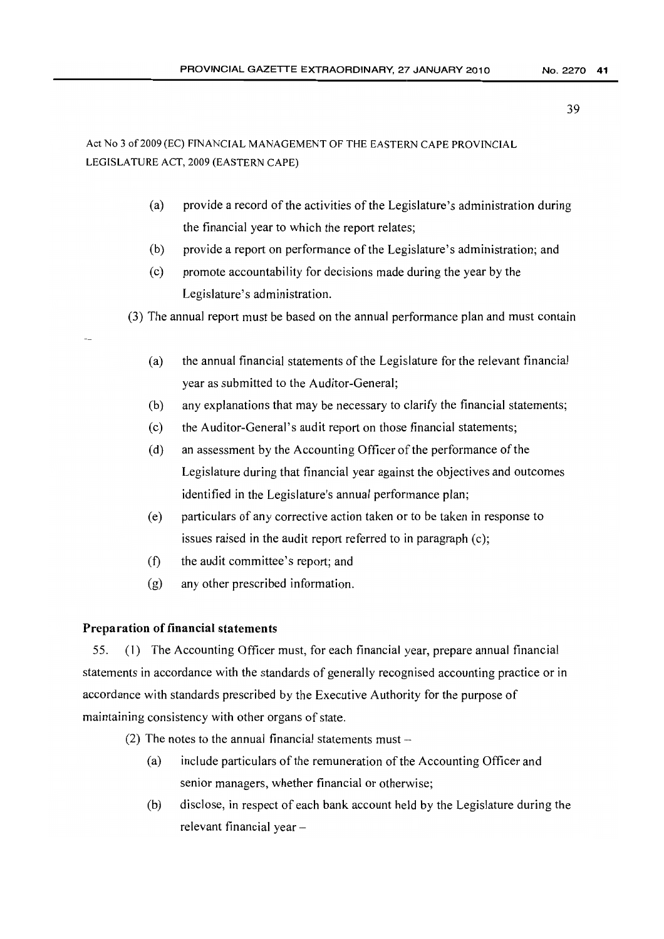Act No 3 of 2009 (EC) FINANCIAL MANAGEMENT OF THE EASTERN CAPE PROVINCIAL LEGISLATURE ACT, 2009 (EASTERN CAPE)

- (a) provide a record of the activities of the Legislature's administration during the financial year to which the report relates;
- (b) provide a report on performance of the Legislature's administration; and
- (c) promote accountability for decisions made during the year by the Legislature's administration.

(3) The annual report must be based on the annual performance plan and must contain

- (a) the annual financial statements ofthe Legislature for the relevant financial year as submitted to the Auditor-General;
- (b) any explanations that may be necessary to clarify the financial statements;
- (c) the Auditor-General's audit report on those financial statements;
- $(d)$  an assessment by the Accounting Officer of the performance of the Legislature during that financial year against the objectives and outcomes identified in the Legislature's annual performance plan;
- (e) particulars of any corrective action taken or to be taken in response to issues raised in the audit report referred to in paragraph (c);
- (f) the audit committee's report; and
- (g) any other prescribed information.

# Preparation of financial statements

55. (1) The Accounting Officer must, for each financial year, prepare annual financial statements in accordance with the standards of generally recognised accounting practice or in accordance with standards prescribed by the Executive Authority for the purpose of maintaining consistency with other organs of state.

- (2) The notes to the annual financial statements must  $-$ 
	- (a) include particulars ofthe remuneration of the Accounting Officer and senior managers, whether financial or otherwise;
	- (b) disclose, in respect of each bank account held by the Legislature during the relevant financial year -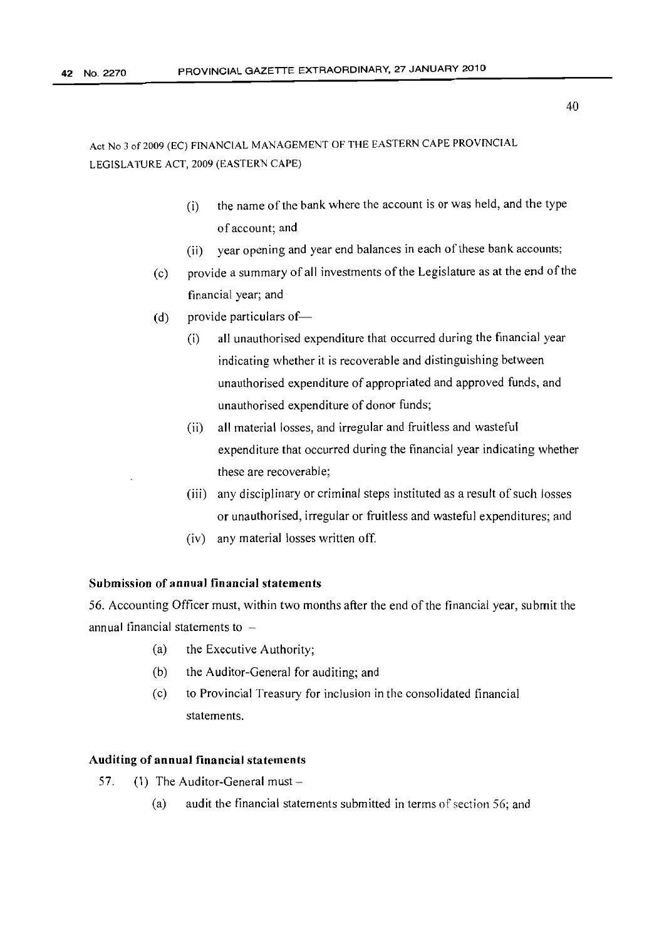- $(i)$  the name of the bank where the account is or was held, and the type of account; and
- (ii) year opening and year end balances in each of these bank accounts;
- (c) provide a summary of all investments of the Legislature as at the end of the financial year; and
- (d) provide particulars of  $\equiv$ 
	- (i) all unauthorised expenditure that occurred during the financial year indicating whether it is recoverable and distinguishing between unauthorised expenditure of appropriated and approved funds, and unauthorised expenditure of donor funds;
	- (ii) all material losses, and irregular and fruitless and wasteful expenditure that occurred during the financial year indicating whether these are recoverable;
	- (iii) any disciplinary or criminal steps instituted as a result of such losses or unauthorised, irregular or fruitless and wasteful expenditures; and
	- (iv) any material losses written off.

# Submission of annual financial statements

56. Accounting Officer must, within two months after the end ofthe financial year, submit the annual financial statements to  $-$ 

- (a) the Executive Authority;
- (b) the Auditor-General for auditing; and
- (c) to Provincial Treasury for inclusion in the consolidated financial statements.

## Auditing of annual financial statements

- 57. (1) The Auditor-General must -
	- (a) audit the financial statements submitted in terms of section  $56$ ; and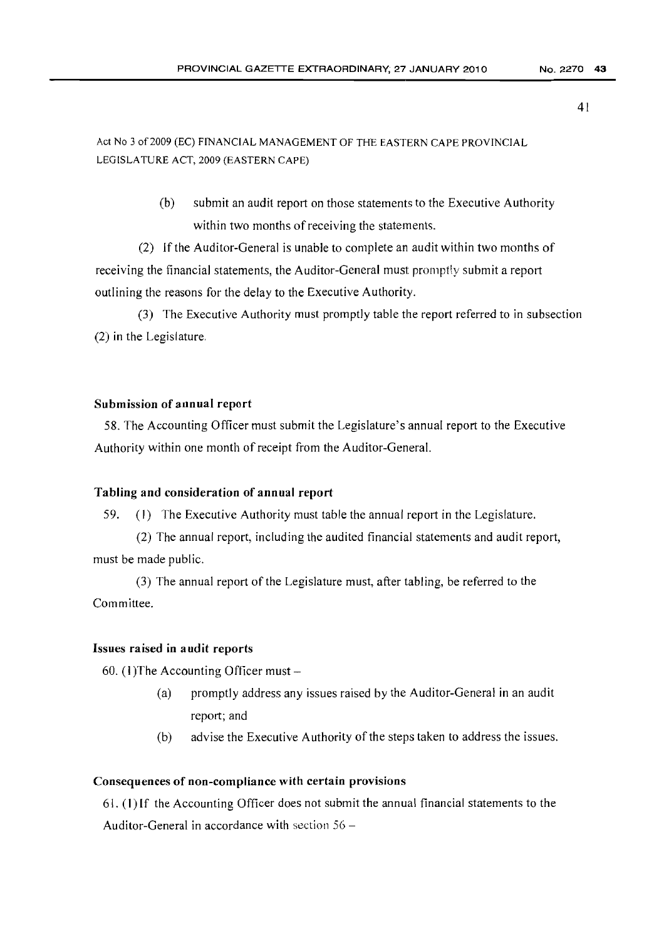Act No 3 of 2009 (EC) FINANCIAL MANAGEMENT OF THE EASTERN CAPE PROVINCIAL LEGISLATURE ACT, 2009 (EASTERN CAPE)

> (b) submit an audit report on those statements to the Executive Authority within two months of receiving the statements.

(2) If the Auditor-General is unable to complete an audit within two months of receiving the financial statements, the Auditor-General must promptly submit a report outlining the reasons for the delay to the Executive Authority.

(3) The Executive Authority must promptly table the report referred to in subsection (2) in the Legislature.

#### Submission of annual report

58. The Accounting Officer must submit the Legislature's annual report to the Executive Authority within one month of receipt from the Auditor-General.

#### Tabling and consideration of annual report

59. (J) The Executive Authority must table the annual report in the Legislature.

(2) The annual report, including the audited financial statements and audit report, must be made public.

(3) The annual report of the Legislature must, after tabling, be referred to the Committee.

#### Issues raised in audit reports

60. (1) The Accounting Officer must  $-$ 

- (a) promptly address any issues raised by the Auditor-General in an audit report; and
- (b) advise the Executive Authority of the steps taken to address the issues.

## Consequences of non-compliance with certain provisions

61. (1) If the Accounting Officer does not submit the annual financial statements to the Auditor-General in accordance with section  $56 -$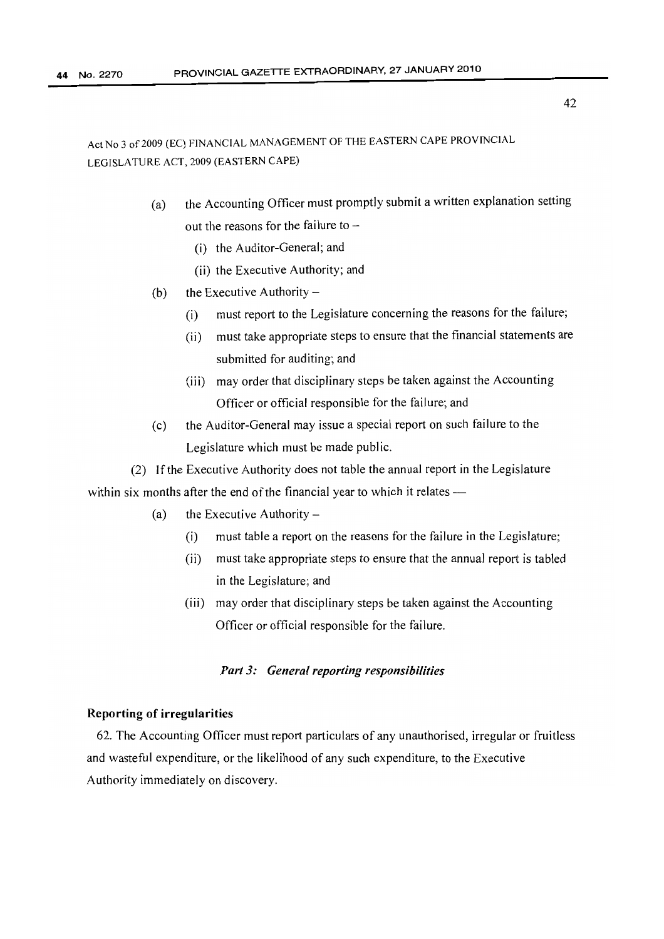- (a) the Accounting Officer must promptly submit a written explanation setting out the reasons for the failure to  $-$ 
	- (i) the Auditor-General; and
	- (ii) the Executive Authority; and
- (b) the Executive Authority  $-$ 
	- (i) must report to the Legislature concerning the reasons for the failure;
	- (ii) must take appropriate steps to ensure that the financial statements are submitted for auditing; and
	- (iii) may order that disciplinary steps be taken against the Accounting Officer or official responsible for the failure; and
- (c) the Auditor-General may issue a special report on such failure to the Legislature which must be made public.
- (2) If the Executive Authority does not table the annual report in the Legislature within six months after the end of the financial year to which it relates $-$ 
	- (a) the Executive Authority  $-$ 
		- (i) must table a report on the reasons for the failure in the Legislature;
		- (ii) must take appropriate steps to ensure that the annual report is tabled in the Legislature; and
		- (iii) may order that disciplinary steps be taken against the Accounting Officer or official responsible for the failure.

# *Pm13: General reporting responsibilities*

#### Reporting of irregularities

62. The Accounting Officer must report particulars of any unauthorised, irregular or fruitless and wasteful expenditure, or the likelihood of any such expenditure, to the Executive Authority immediately on discovery.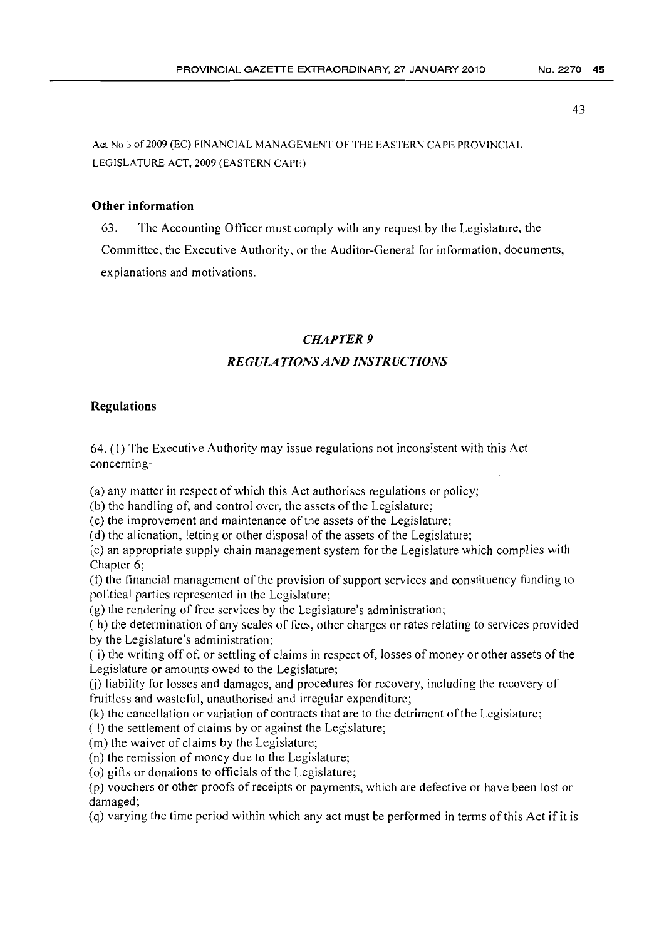Act No 3 of 2009 (EC) FINANCIAL MANAGEMENT OF THE EASTERN CAPE PROVINCIAL LEGISLATURE ACT, 2009 (EASTERN CAPE)

## Other information

63. The Accounting Officer must comply with any request by the Legislature, the Committee, the Executive Authority, or the Auditor-General for information, documents, explanations and motivations.

## *CHAPTER* 9

# *REGULATIONSAND INSTRUCTIONS*

#### Regulations

64. (1) The Executive Authority may issue regulations not inconsistent with this Act concerning-

(a) any matter in respect of which this Act authorises regulations or policy;

(b) the handling of, and control over, the assets of the Legislature;

(c) the improvement and maintenance of the assets of the Legislature;

(d) the alienation, letting or other disposal of the assets of the Legislature;

(e) an appropriate supply chain management system for the Legislature which complies with Chapter 6;

(f) the financial management of the provision of support services and constituency funding to political parties represented in the Legislature;

(g) the rendering of free services by the Legislature's administration;

( h) the determination of any scales of fees, other charges or rates relating to services provided by the Legislature's administration;

( i) the writing off of, or settling of claims in respect of, losses of money or other assets ofthe Legislature or amounts owed to the Legislature;

(j) liability for losses and damages, and procedures for recovery, including the recovery of fruitless and wasteful, unauthorised and irregular expenditure;

(k) the cancellation or variation of contracts that are to the detriment ofthe Legislature;

( I) the settlement of claims by or against the Legislature;

(m) the waiver of claims by the Legislature;

(n) the remission of money due to the Legislature;

(o) gifts or donations to officials of the Legislature;

(p) vouchers or other proofs of receipts or payments, which are defective or have been lost or. damaged;

(q) varying the time period within which any act must be performed in terms ofthis Act if it is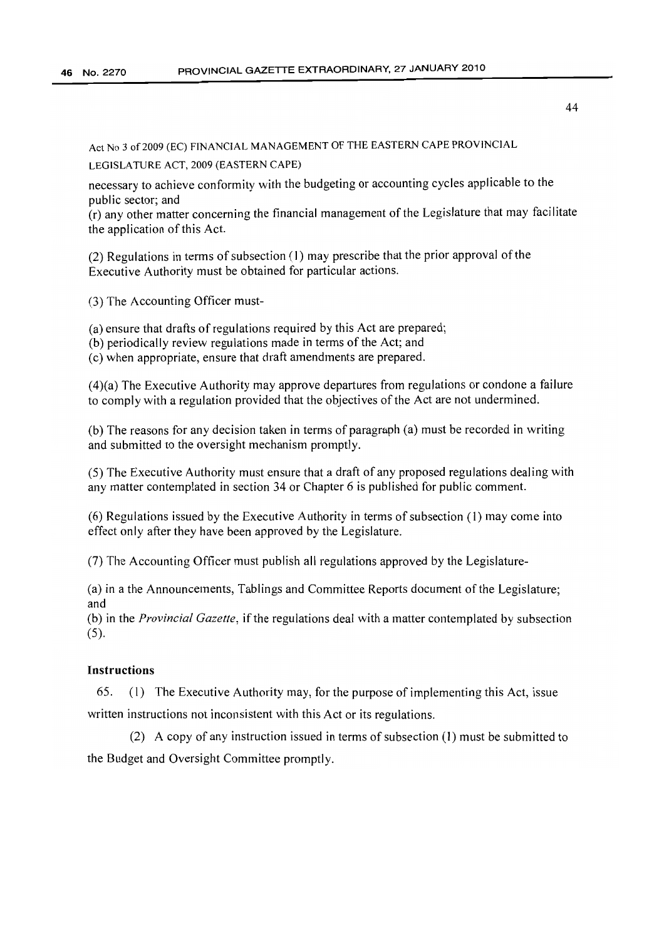Act No 3 of 2009 (EC) FINANCIAL MANAGEMENT OF THE EASTERN CAPE PROVINCIAL

LEGISLATURE ACT, 2009 (EASTERN CAPE)

necessary to achieve conformity with the budgeting or accounting cycles applicable to the public sector; and

(r) any other matter concerning the financial management ofthe Legislature that may facilitate the application of this Act.

(2) Regulations in terms of subsection  $(1)$  may prescribe that the prior approval of the Executive Authority must be obtained for particular actions.

(3) The Accounting Officer must-

(a) ensure that drafts of regulations required by this Act are prepared;

(b) periodically review regulations made in terms of the Act; and

(c) when appropriate, ensure that draft amendments are prepared.

(4)(a) The Executive Authority may approve departures from regulations or condone a failure to comply with a regulation provided that the objectives ofthe Act are not undermined.

(b) The reasons for any decision taken in terms of paragraph (a) must be recorded in writing and submitted to the oversight mechanism promptly.

(5) The Executive Authority must ensure that a draft of any proposed regulations dealing with any matter contemplated in section 34 or Chapter 6 is published for public comment.

(6) Regulations issued by the Executive Authority in terms ofsubsection (I) may come into effect only after they have been approved by the Legislature.

(7) The Accounting Officer must publish all regulations approved by the Legislature-

(a) in a the Announcements, Tablings and Committee Reports document ofthe Legislature; and

(b) in the *Provincial Gazette,* ifthe regulations deal with a matter contemplated by subsection (5).

# **Instructions**

65. (I) The Executive Authority may, for the purpose of implementing this Act, issue written instructions not inconsistent with this Act or its regulations.

 $(2)$  A copy of any instruction issued in terms of subsection  $(1)$  must be submitted to the Budget and Oversight Committee promptly.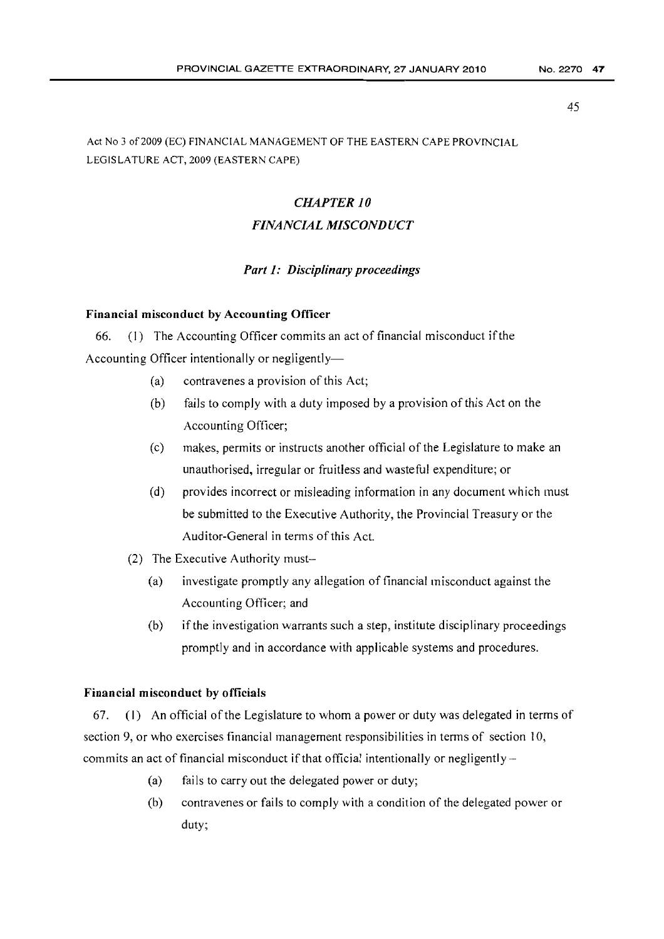# Act No 3 of2009 (EC) FINANCIAL MANAGEMENT OF THE EASTERN CAPE PROVINCIAL LEGISLATURE ACT, 2009 (EASTERN CAPE)

# *CHAPTER 10*

# *FINANCIAL MISCONDUCT*

# *Part* 1: *Disciplinary proceedings*

## Financial misconduct by Accounting Officer

66. (I) The Accounting Officer commits an act of financial misconduct if the Accounting Officer intentionally or negligently-

- (a) contravenes a provision of this Act;
- (b) fails to comply with a duty imposed by a provision of this Act on the Accounting Officer;
- (c) makes, permits or instructs another official ofthe Legislature to make an unauthorised, irregular or fruitless and wasteful expenditure; or
- (d) provides incorrect or misleading information in any document which must be submitted to the Executive Authority, the Provincial Treasury or the Auditor-General in terms of this Act.
- (2) The Executive Authority must-
	- (a) investigate promptly any allegation of financial misconduct against the Accounting Officer; and
	- (b) if the investigation warrants such a step, institute disciplinary proceedings promptly and in accordance with applicable systems and procedures.

# Financial misconduct by officials

67. (I) An official ofthe Legislature to whom a power or duty was delegated in terms of section 9, or who exercises financial management responsibilities in terms of section 10, commits an act of financial misconduct if that official intentionally or negligently  $-$ 

- (a) fails to carry out the delegated power or duty;
- (b) contravenes or fails to comply with a condition of the delegated power or duty;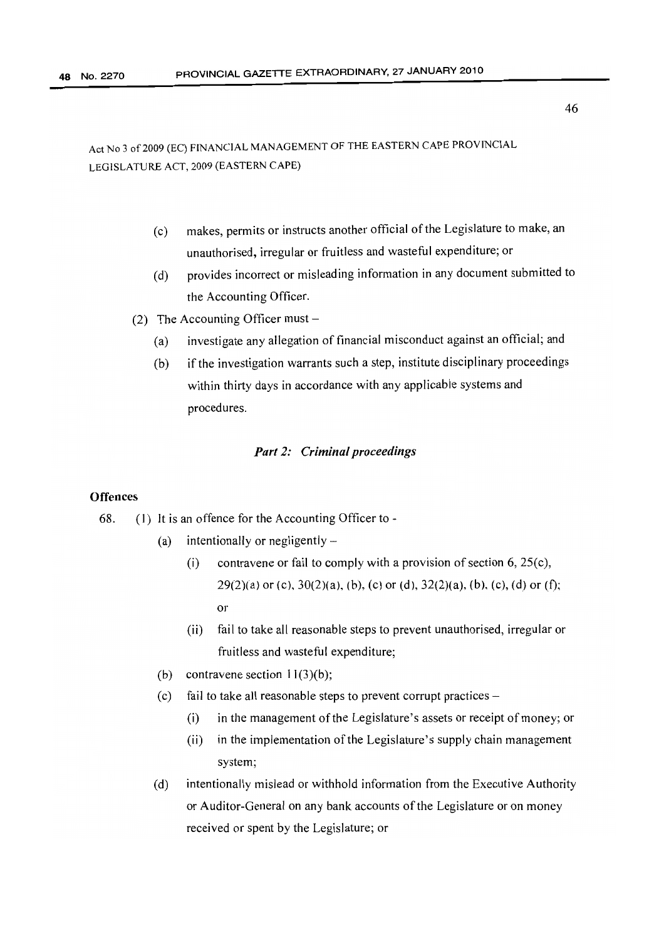# Act No 3 of 2009 (EC) FINANCIAL MANAGEMENT OF THE EASTERN CAPE PROVINCIAL LEGISLATURE ACT, 2009 (EASTERN CAPE)

- (c) makes, permits or instructs another official of the Legislature to make, an unauthorised, irregular or fruitless and wasteful expenditure; or
- (d) provides incorrect or misleading information in any document submitted to the Accounting Officer.
- (2) The Accounting Officer must  $-$ 
	- (a) investigate any allegation of financial misconduct against an official; and
	- (b) if the investigation warrants such a step, institute disciplinary proceedings within thirty days in accordance with any applicable systems and procedures.

# *Part* 2: *Criminal proceedings*

# **Offences**

- 68.  $(1)$  It is an offence for the Accounting Officer to -
	- (a) intentionally or negligently  $-$ 
		- (i) contravene or fail to comply with a provision of section 6,  $25(c)$ ,  $29(2)(a)$  or (c),  $30(2)(a)$ , (b), (c) or (d),  $32(2)(a)$ , (b), (c), (d) or (f); or
		- (ii) fail to take all reasonable steps to prevent unauthorised, irregular or fruitless and wasteful expenditure;
	- (b) contravene section  $11(3)(b)$ ;
	- (c) fail to take all reasonable steps to prevent corrupt practices  $-$ 
		- $(i)$  in the management of the Legislature's assets or receipt of money; or
		- $(i)$  in the implementation of the Legislature's supply chain management system;
	- (d) intentionally mislead or withhold information from the Executive Authority or Auditor-General on any bank accounts of the Legislature or on money received or spent by the Legislature; or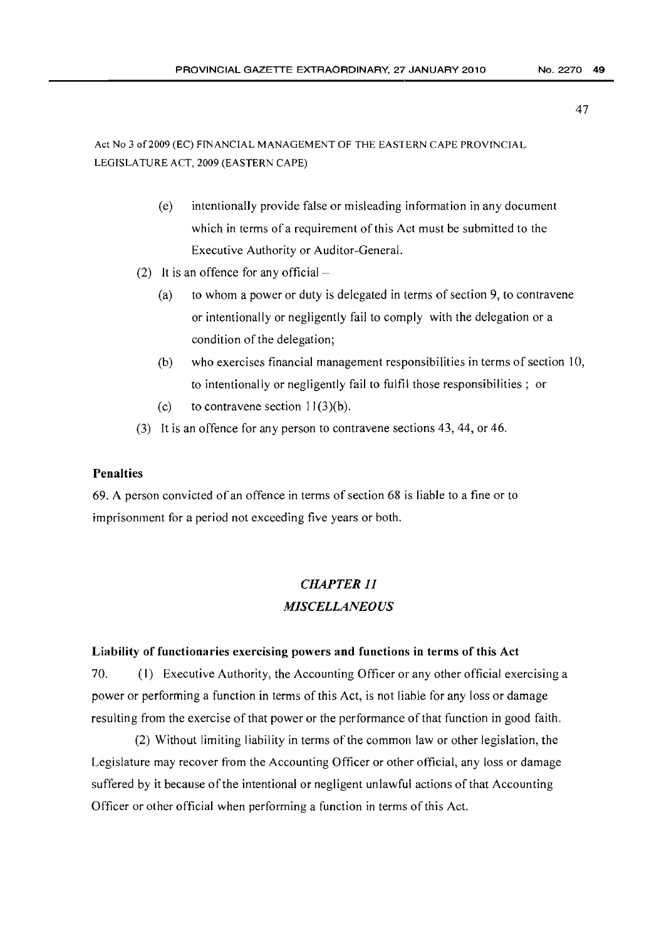Act No 3 of2009 (EC) FINANCIAL MANAGEMENT OF THE EASTERN CAPE PROVINCIAL LEGISLATURE ACT, 2009 (EASTERN CAPE)

- (e) intentionally provide false or misleading information in any document which in terms of a requirement of this Act must be submitted to the Executive Authority or Auditor-General.
- (2) It is an offence for any official  $-$ 
	- (a) to whom a power or duty is delegated in terms of section 9, to contravene or intentionally or negligently fail to comply with the delegation or a condition of the delegation;
	- (b) who exercises financial management responsibilities in terms of section 10, to intentionally or negligently fail to fulfil those responsibilities; or
	- (c) to contravene section  $11(3)(b)$ .
- (3) It is an offence for any person to contravene sections 43, 44, or 46.

# Penalties

69. A person convicted of an offence in terms of section  $68$  is liable to a fine or to imprisonment for a period not exceeding five years or both.

# *CHAPTER 11 MISCELLANEOUS*

## Liability of functionaries exercising powers and functions in terms of this Act

70. (I) Executive Authority, the Accounting Officer or any other official exercising a power or performing a function in terms of this Act, is not liable for any loss or damage resulting from the exercise of that power or the performance of that function in good faith.

(2) Without limiting liability in terms of the common law or other legislation, the Legislature may recover from the Accounting Officer or other official, any loss or damage suffered by it because of the intentional or negligent unlawful actions of that Accounting Officer or other official when performing a function in terms of this Act.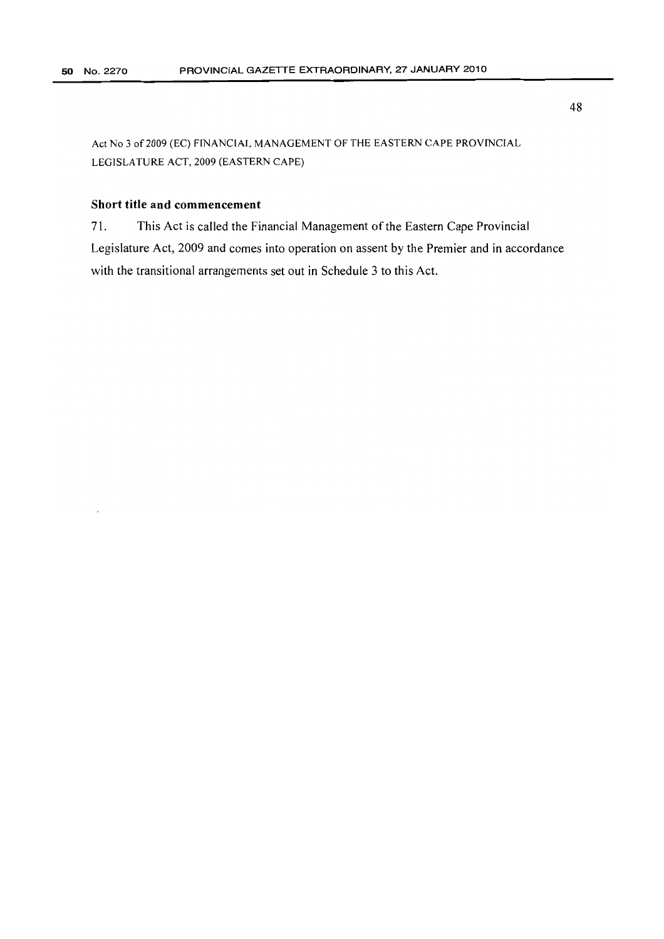# Short title and commencement

71. This Act is called the Financial Management of the Eastern Cape Provincial Legislature Act, 2009 and comes into operation on assent by the Premier and in accordance with the transitional arrangements set out in Schedule 3 to this Act.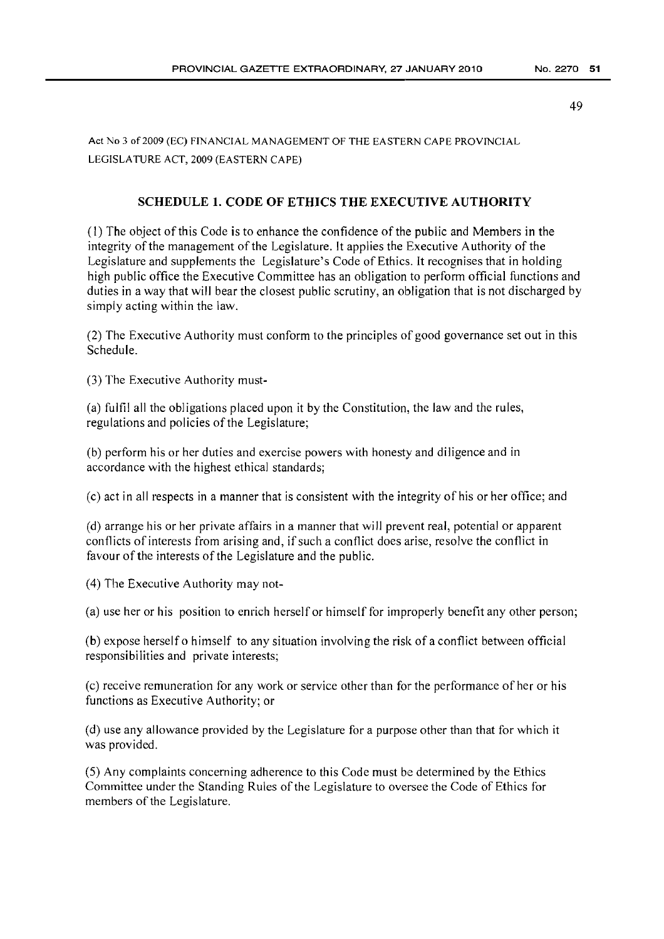# SCHEDULE 1. CODE OF ETHICS THE EXECUTIVE AUTHORITY

(I) The object ofthis Code is to enhance the confidence ofthe public and Members in the integrity of the management of the Legislature. It applies the Executive Authority of the Legislature and supplements the Legislature's Code of Ethics. It recognises that in holding high public office the Executive Committee has an obligation to perform official functions and duties in a way that will bear the closest public scrutiny, an obligation that is not discharged by simply acting within the law.

(2) The Executive Authority must conform to the principles of good governance set out in this Schedule.

(3) The Executive Authority must-

(a) fulfil all the obligations placed upon it by the Constitution, the Jaw and the rules, regulations and policies of the Legislature;

(b) perform his or her duties and exercise powers with honesty and diligence and in accordance with the highest ethical standards;

(c) act in all respects in a manner that is consistent with the integrity of his or her office; and

(d) arrange his or her private affairs in a manner that will prevent real, potential or apparent conflicts of interests from arising and, if such a conflict does arise, resolve the conflict in favour of the interests of the Legislature and the public.

(4) The Executive Authority may not-

(a) use her or his position to enrich herself or himself for improperly benefit any other person;

(b) expose herself <sup>0</sup> himself to any situation involving the risk of a conflict between official responsibilities and private interests;

(c) receive remuneration for any work or service other than for the performance of her or his functions as Executive Authority; or

(d) use any allowance provided by the Legislature for a purpose other than that for which it was provided.

(5) Any complaints concerning adherence to this Code must be determined by the Ethics Committee under the Standing Rules of the Legislature to oversee the Code of Ethics for members of the Legislature.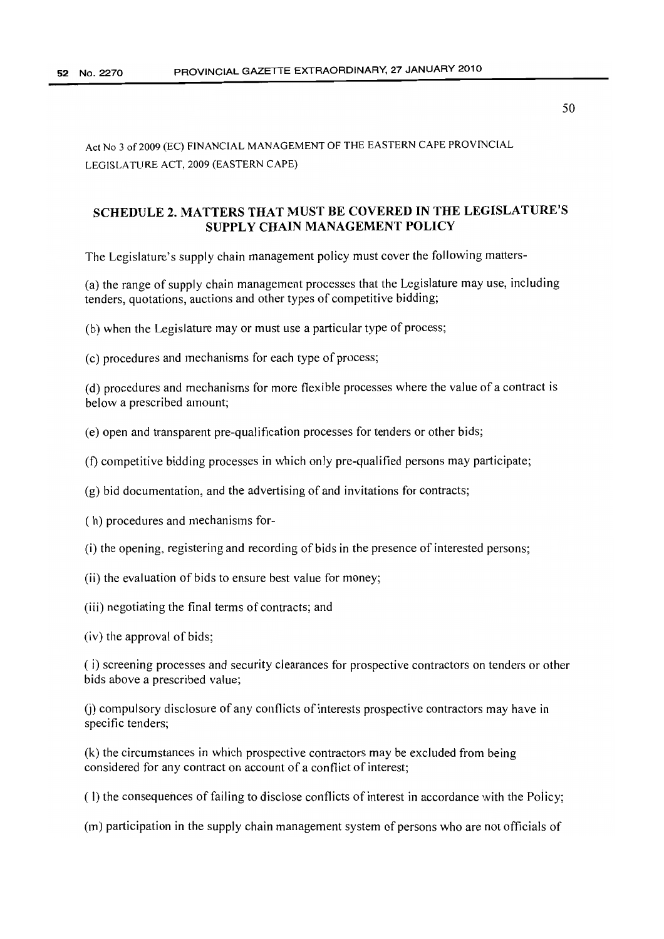Act No 3 of 2009 (EC) FINANCIAL MANAGEMENT OF THE EASTERN CAPE PROVINCIAL LEGISLATURE ACT, 2009 (EASTERN CAPE)

# SCHEDULE 2. MATTERS THAT MUST BE COVERED IN THE LEGISLATURE'S SUPPLY CHAIN MANAGEMENT POLICY

The Legislature's supply chain management policy must cover the following matters-

(a) the range of supply chain management processes that the Legislature may use, including tenders, quotations, auctions and other types of competitive bidding;

(b) when the Legislature mayor must use a particular type of process;

(c) procedures and mechanisms for each type of process;

(d) procedures and mechanisms for more flexible processes where the value of a contract is below a prescribed amount;

(e) open and transparent pre-qualification processes for tenders or other bids;

(f) competitive bidding processes in which only pre-qualified persons may participate;

(g) bid documentation, and the advertising of and invitations for contracts;

( h) procedures and mechanisms for-

(i) the opening, registering and recording of bids in the presence of interested persons;

- (ii) the evaluation of bids to ensure best value for money;
- (iii) negotiating the final terms of contracts; and
- (iv) the approval of bids;

( i) screening processes and security clearances for prospective contractors on tenders or other bids above a prescribed value;

(i) compulsory disclosure of any conflicts of interests prospective contractors may have in specific tenders;

(k) the circumstances in which prospective contractors may be excluded from being considered for any contract on account of a conflict of interest;

(I) the consequences of failing to disclose conflicts of interest in accordance with the Policy;

(m) participation in the supply chain management system of persons who are not officials of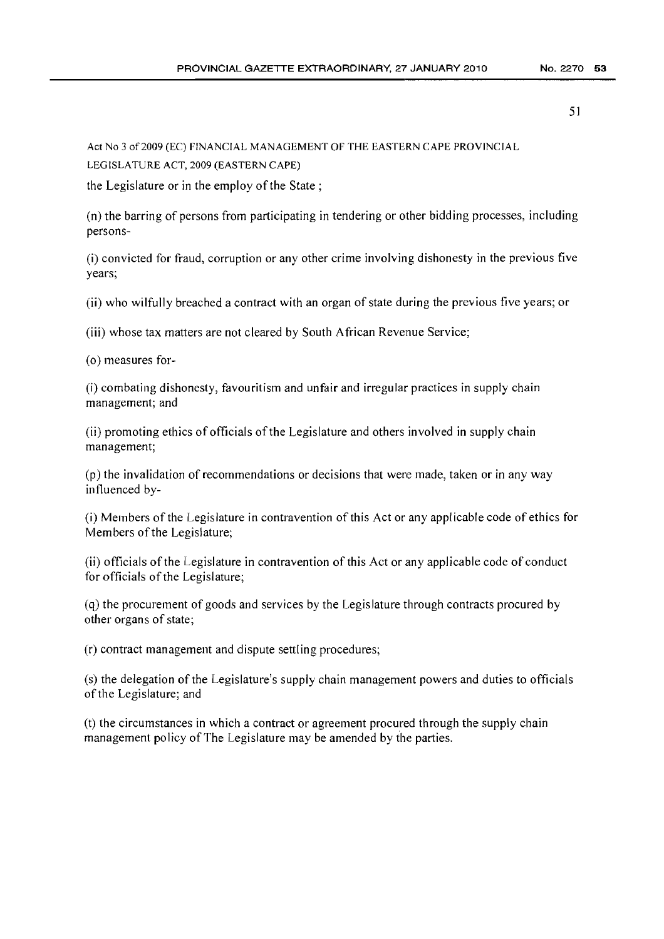Act No 3 of2009 (EC) FINANCIAL MANAGEMENT OF THE EASTERN CAPE PROVINCIAL LEGISLATURE ACT, 2009 (EASTERN CAPE)

the Legislature or in the employ of the State;

(n) the barring of persons from participating in tendering or other bidding processes, including persons-

(i) convicted for fraud, corruption or any other crime involving dishonesty in the previous five years;

(ii) who wilfully breached a contract with an organ of state during the previous five years; or

(iii) whose tax matters are not cleared by South African Revenue Service;

(0) measures for-

(i) combating dishonesty, favouritism and unfair and irregular practices in supply chain management; and

(ii) promoting ethics of officials ofthe Legislature and others involved in supply chain management;

(p) the invalidation of recommendations or decisions that were made, taken or in any way influenced by-

(i) Members ofthe Legislature in contravention ofthis Act or any applicable code of ethics for Members of the Legislature;

(ii) officials ofthe Legislature in contravention of this Act or any applicable code of conduct for officials of the Legislature;

(q) the procurement of goods and services by the Legislature through contracts procured by other organs of state;

(r) contract management and dispute settling procedures;

(s) the delegation of the Legislature's supply chain management powers and duties to officials ofthe Legislature; and

(t) the circumstances in which a contract or agreement procured through the supply chain management policy of The Legislature may be amended by the parties.